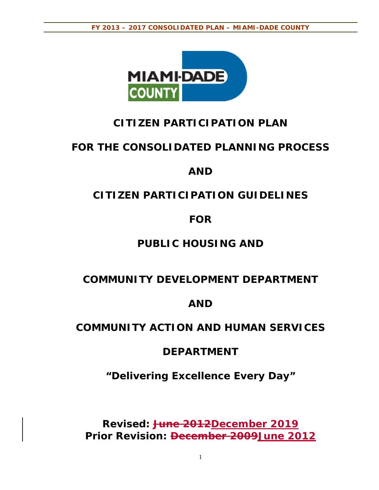

# **CITIZEN PARTICIPATION PLAN**

# **FOR THE CONSOLIDATED PLANNING PROCESS**

# **AND**

# **CITIZEN PARTICIPATION GUIDELINES**

# **FOR**

# **PUBLIC HOUSING AND**

# **COMMUNITY DEVELOPMENT DEPARTMENT**

# **AND**

# **COMMUNITY ACTION AND HUMAN SERVICES**

# **DEPARTMENT**

*"Delivering Excellence Every Day"* 

**Revised: June 2012December 2019 Prior Revision: December 2009June 2012**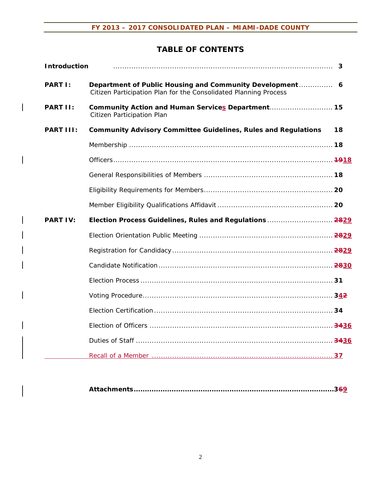### **TABLE OF CONTENTS**

| <b>Introduction</b> |                                                                                                                              | 3  |
|---------------------|------------------------------------------------------------------------------------------------------------------------------|----|
| <b>PART I:</b>      | Department of Public Housing and Community Development 6<br>Citizen Participation Plan for the Consolidated Planning Process |    |
| PART II:            | Community Action and Human Services Department 15<br>Citizen Participation Plan                                              |    |
| PART III:           | <b>Community Advisory Committee Guidelines, Rules and Regulations</b>                                                        | 18 |
|                     |                                                                                                                              |    |
|                     |                                                                                                                              |    |
|                     |                                                                                                                              |    |
|                     |                                                                                                                              |    |
|                     |                                                                                                                              |    |
| <b>PART IV:</b>     | Election Process Guidelines, Rules and Regulations  2829                                                                     |    |
|                     |                                                                                                                              |    |
|                     |                                                                                                                              |    |
|                     |                                                                                                                              |    |
|                     |                                                                                                                              |    |
|                     |                                                                                                                              |    |
|                     |                                                                                                                              |    |
|                     |                                                                                                                              |    |
|                     |                                                                                                                              |    |
|                     |                                                                                                                              |    |

|--|--|--|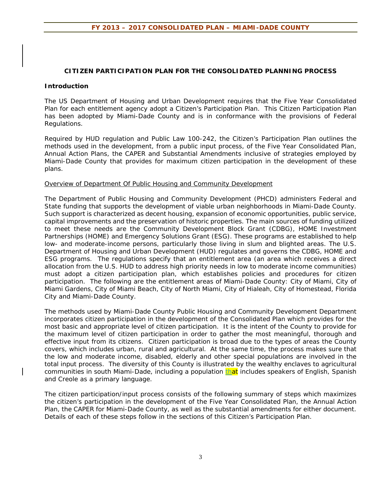#### **CITIZEN PARTICIPATION PLAN FOR THE CONSOLIDATED PLANNING PROCESS**

#### **Introduction**

The US Department of Housing and Urban Development requires that the Five Year Consolidated Plan for each entitlement agency adopt a Citizen's Participation Plan. This Citizen Participation Plan has been adopted by Miami-Dade County and is in conformance with the provisions of Federal Regulations.

Required by HUD regulation and Public Law 100-242, the Citizen's Participation Plan outlines the methods used in the development, from a public input process, of the Five Year Consolidated Plan, Annual Action Plans, the CAPER and Substantial Amendments inclusive of strategies employed by Miami-Dade County that provides for maximum citizen participation in the development of these plans.

#### Overview of Department Of Public Housing and Community Development

The Department of Public Housing and Community Development (PHCD) administers Federal and State funding that supports the development of viable urban neighborhoods in Miami-Dade County. Such support is characterized as decent housing, expansion of economic opportunities, public service, capital improvements and the preservation of historic properties. The main sources of funding utilized to meet these needs are the Community Development Block Grant (CDBG), HOME Investment Partnerships (HOME) and Emergency Solutions Grant (ESG). These programs are established to help low- and moderate-income persons, particularly those living in slum and blighted areas. The U.S. Department of Housing and Urban Development (HUD) regulates and governs the CDBG, HOME and ESG programs. The regulations specify that an entitlement area (an area which receives a direct allocation from the U.S. HUD to address high priority needs in low to moderate income communities) must adopt a citizen participation plan, which establishes policies and procedures for citizen participation. The following are the entitlement areas of Miami-Dade County: City of Miami, City of Miami Gardens, City of Miami Beach, City of North Miami, City of Hialeah, City of Homestead, Florida City and Miami-Dade County.

The methods used by Miami-Dade County Public Housing and Community Development Department incorporates citizen participation in the development of the Consolidated Plan which provides for the most basic and appropriate level of citizen participation. It is the intent of the County to provide for the maximum level of citizen participation in order to gather the most meaningful, thorough and effective input from its citizens. Citizen participation is broad due to the types of areas the County covers, which includes urban, rural and agricultural. At the same time, the process makes sure that the low and moderate income, disabled, elderly and other special populations are involved in the total input process. The diversity of this County is illustrated by the wealthy enclaves to agricultural communities in south Miami-Dade, including a population that includes speakers of English, Spanish and Creole as a primary language.

The citizen participation/input process consists of the following summary of steps which maximizes the citizen's participation in the development of the Five Year Consolidated Plan, the Annual Action Plan, the CAPER for Miami-Dade County, as well as the substantial amendments for either document. Details of each of these steps follow in the sections of this Citizen's Participation Plan.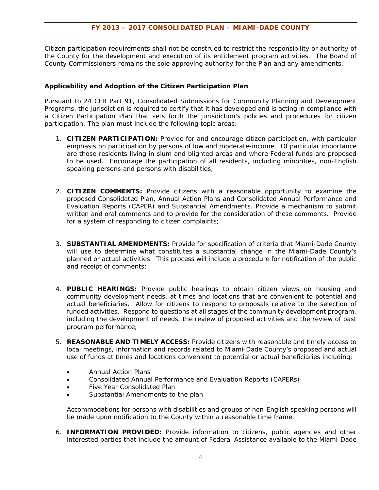Citizen participation requirements shall not be construed to restrict the responsibility or authority of the County for the development and execution of its entitlement program activities. The Board of County Commissioners remains the sole approving authority for the Plan and any amendments.

#### **Applicability and Adoption of the Citizen Participation Plan**

Pursuant to 24 CFR Part 91, Consolidated Submissions for Community Planning and Development Programs, the jurisdiction is required to certify that it has developed and is acting in compliance with a Citizen Participation Plan that sets forth the jurisdiction's policies and procedures for citizen participation. The plan must include the following topic areas:

- 1. **CITIZEN PARTICIPATION:** Provide for and encourage citizen participation, with particular emphasis on participation by persons of low and moderate-income. Of particular importance are those residents living in slum and blighted areas and where Federal funds are proposed to be used. Encourage the participation of all residents, including minorities, non-English speaking persons and persons with disabilities;
- 2. **CITIZEN COMMENTS:** Provide citizens with a reasonable opportunity to examine the proposed Consolidated Plan, Annual Action Plans and Consolidated Annual Performance and Evaluation Reports (CAPER) and Substantial Amendments. Provide a mechanism to submit written and oral comments and to provide for the consideration of these comments. Provide for a system of responding to citizen complaints;
- 3. **SUBSTANTIAL AMENDMENTS:** Provide for specification of criteria that Miami-Dade County will use to determine what constitutes a substantial change in the Miami-Dade County's planned or actual activities. This process will include a procedure for notification of the public and receipt of comments;
- 4. **PUBLIC HEARINGS:** Provide public hearings to obtain citizen views on housing and community development needs, at times and locations that are convenient to potential and actual beneficiaries. Allow for citizens to respond to proposals relative to the selection of funded activities. Respond to questions at all stages of the community development program, including the development of needs, the review of proposed activities and the review of past program performance;
- 5. **REASONABLE AND TIMELY ACCESS:** Provide citizens with reasonable and timely access to local meetings, information and records related to Miami-Dade County's proposed and actual use of funds at times and locations convenient to potential or actual beneficiaries including;
	- Annual Action Plans
	- Consolidated Annual Performance and Evaluation Reports (CAPERs)
	- Five Year Consolidated Plan
	- Substantial Amendments to the plan

Accommodations for persons with disabilities and groups of non-English speaking persons will be made upon notification to the County within a reasonable time frame.

6. **INFORMATION PROVIDED:** Provide information to citizens, public agencies and other interested parties that include the amount of Federal Assistance available to the Miami-Dade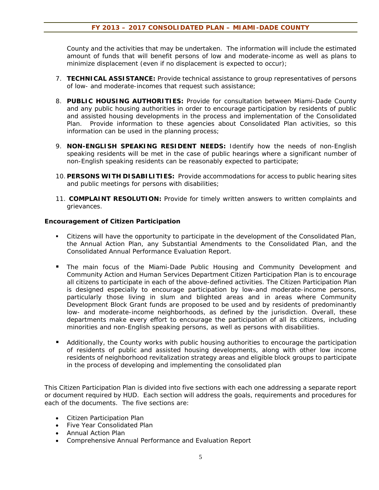County and the activities that may be undertaken. The information will include the estimated amount of funds that will benefit persons of low and moderate-income as well as plans to minimize displacement (even if no displacement is expected to occur);

- 7. **TECHNICAL ASSISTANCE:** Provide technical assistance to group representatives of persons of low- and moderate-incomes that request such assistance;
- 8. **PUBLIC HOUSING AUTHORITIES:** Provide for consultation between Miami-Dade County and any public housing authorities in order to encourage participation by residents of public and assisted housing developments in the process and implementation of the Consolidated Plan. Provide information to these agencies about Consolidated Plan activities, so this information can be used in the planning process;
- 9. **NON-ENGLISH SPEAKING RESIDENT NEEDS:** Identify how the needs of non-English speaking residents will be met in the case of public hearings where a significant number of non-English speaking residents can be reasonably expected to participate;
- 10. **PERSONS WITH DISABILITIES:** Provide accommodations for access to public hearing sites and public meetings for persons with disabilities;
- 11. **COMPLAINT RESOLUTION:** Provide for timely written answers to written complaints and grievances.

#### **Encouragement of Citizen Participation**

- Citizens will have the opportunity to participate in the development of the Consolidated Plan, the Annual Action Plan, any Substantial Amendments to the Consolidated Plan, and the Consolidated Annual Performance Evaluation Report.
- The main focus of the Miami-Dade Public Housing and Community Development and Community Action and Human Services Department Citizen Participation Plan is to encourage all citizens to participate in each of the above-defined activities. The Citizen Participation Plan is designed especially to encourage participation by low-and moderate-income persons, particularly those living in slum and blighted areas and in areas where Community Development Block Grant funds are proposed to be used and by residents of predominantly low- and moderate-income neighborhoods, as defined by the jurisdiction. Overall, these departments make every effort to encourage the participation of all its citizens, including minorities and non-English speaking persons, as well as persons with disabilities.
- Additionally, the County works with public housing authorities to encourage the participation of residents of public and assisted housing developments, along with other low income residents of neighborhood revitalization strategy areas and eligible block groups to participate in the process of developing and implementing the consolidated plan

This Citizen Participation Plan is divided into five sections with each one addressing a separate report or document required by HUD. Each section will address the goals, requirements and procedures for each of the documents. The five sections are:

- Citizen Participation Plan
- Five Year Consolidated Plan
- Annual Action Plan
- Comprehensive Annual Performance and Evaluation Report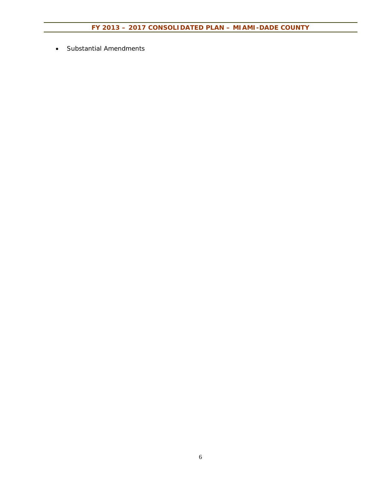Substantial Amendments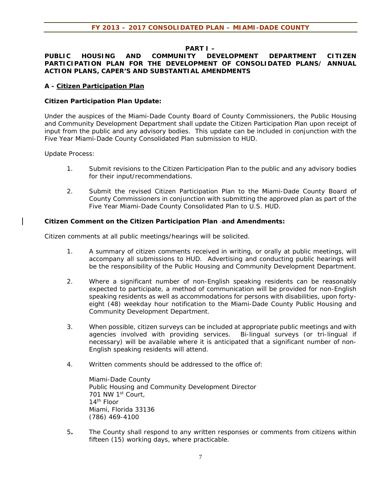#### **PART I –**

#### **PUBLIC HOUSING AND COMMUNITY DEVELOPMENT DEPARTMENT CITIZEN PARTICIPATION PLAN FOR THE DEVELOPMENT OF CONSOLIDATED PLANS/ ANNUAL ACTION PLANS, CAPER'S AND SUBSTANTIAL AMENDMENTS**

#### **A - Citizen Participation Plan**

#### **Citizen Participation Plan Update:**

Under the auspices of the Miami-Dade County Board of County Commissioners, the Public Housing and Community Development Department shall update the Citizen Participation Plan upon receipt of input from the public and any advisory bodies. This update can be included in conjunction with the Five Year Miami-Dade County Consolidated Plan submission to HUD.

Update Process:

- 1. Submit revisions to the Citizen Participation Plan to the public and any advisory bodies for their input/recommendations.
- 2. Submit the revised Citizen Participation Plan to the Miami-Dade County Board of County Commissioners in conjunction with submitting the approved plan as part of the Five Year Miami-Dade County Consolidated Plan to U.S. HUD.

#### **Citizen Comment on the Citizen Participation Plan-and Amendments:**

Citizen comments at all public meetings/hearings will be solicited.

- 1. A summary of citizen comments received in writing, or orally at public meetings, will accompany all submissions to HUD. Advertising and conducting public hearings will be the responsibility of the Public Housing and Community Development Department.
- 2. Where a significant number of non-English speaking residents can be reasonably expected to participate, a method of communication will be provided for non-English speaking residents as well as accommodations for persons with disabilities, upon fortyeight (48) weekday hour notification to the Miami-Dade County Public Housing and Community Development Department.
- 3. When possible, citizen surveys can be included at appropriate public meetings and with agencies involved with providing services. Bi-lingual surveys (or tri-lingual if necessary) will be available where it is anticipated that a significant number of non-English speaking residents will attend.
- 4. Written comments should be addressed to the office of:

Miami-Dade County Public Housing and Community Development Director 701 NW 1st Court, 14th Floor Miami, Florida 33136 (786) 469-4100

5**.** The County shall respond to any written responses or comments from citizens within fifteen (15) working days, where practicable.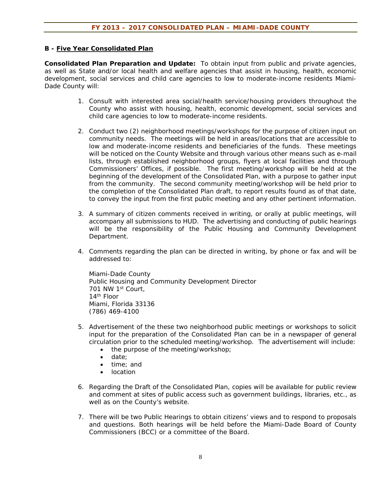#### **B - Five Year Consolidated Plan**

**Consolidated Plan Preparation and Update:** To obtain input from public and private agencies, as well as State and/or local health and welfare agencies that assist in housing, health, economic development, social services and child care agencies to low to moderate-income residents Miami-Dade County will:

- 1. Consult with interested area social/health service/housing providers throughout the County who assist with housing, health, economic development, social services and child care agencies to low to moderate-income residents.
- 2. Conduct two (2) neighborhood meetings/workshops for the purpose of citizen input on community needs. The meetings will be held in areas/locations that are accessible to low and moderate-income residents and beneficiaries of the funds. These meetings will be noticed on the County Website and through various other means such as e-mail lists, through established neighborhood groups, flyers at local facilities and through Commissioners' Offices, if possible. The first meeting/workshop will be held at the beginning of the development of the Consolidated Plan, with a purpose to gather input from the community. The second community meeting/workshop will be held prior to the completion of the Consolidated Plan draft, to report results found as of that date, to convey the input from the first public meeting and any other pertinent information.
- 3. A summary of citizen comments received in writing, or orally at public meetings, will accompany all submissions to HUD. The advertising and conducting of public hearings will be the responsibility of the Public Housing and Community Development Department.
- 4. Comments regarding the plan can be directed in writing, by phone or fax and will be addressed to:

Miami-Dade County Public Housing and Community Development Director 701 NW 1st Court, 14th Floor Miami, Florida 33136 (786) 469-4100

- 5. Advertisement of the these two neighborhood public meetings or workshops to solicit input for the preparation of the Consolidated Plan can be in a newspaper of general circulation prior to the scheduled meeting/workshop. The advertisement will include:
	- the purpose of the meeting/workshop;
	- date:
	- time: and
	- location
- 6. Regarding the Draft of the Consolidated Plan, copies will be available for public review and comment at sites of public access such as government buildings, libraries, etc., as well as on the County's website.
- 7. There will be two Public Hearings to obtain citizens' views and to respond to proposals and questions. Both hearings will be held before the Miami-Dade Board of County Commissioners (BCC) or a committee of the Board.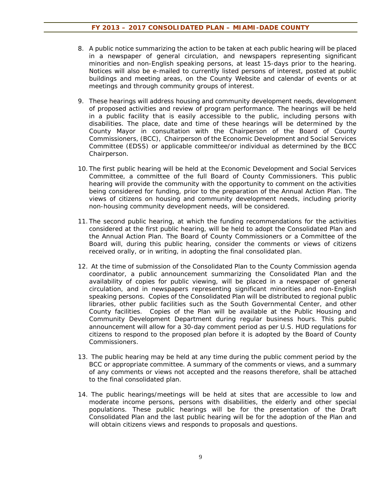- 8. A public notice summarizing the action to be taken at each public hearing will be placed in a newspaper of general circulation, and newspapers representing significant minorities and non-English speaking persons, at least 15-days prior to the hearing. Notices will also be e-mailed to currently listed persons of interest, posted at public buildings and meeting areas, on the County Website and calendar of events or at meetings and through community groups of interest.
- 9. These hearings will address housing and community development needs, development of proposed activities and review of program performance. The hearings will be held in a public facility that is easily accessible to the public, including persons with disabilities. The place, date and time of these hearings will be determined by the County Mayor in consultation with the Chairperson of the Board of County Commissioners, (BCC), Chairperson of the Economic Development and Social Services Committee (EDSS) or applicable committee/or individual as determined by the BCC Chairperson.
- 10. The first public hearing will be held at the Economic Development and Social Services Committee, a committee of the full Board of County Commissioners. This public hearing will provide the community with the opportunity to comment on the activities being considered for funding, prior to the preparation of the Annual Action Plan. The views of citizens on housing and community development needs, including priority non-housing community development needs, will be considered.
- 11. The second public hearing, at which the funding recommendations for the activities considered at the first public hearing, will be held to adopt the Consolidated Plan and the Annual Action Plan. The Board of County Commissioners or a Committee of the Board will, during this public hearing, consider the comments or views of citizens received orally, or in writing, in adopting the final consolidated plan.
- 12. At the time of submission of the Consolidated Plan to the County Commission agenda coordinator, a public announcement summarizing the Consolidated Plan and the availability of copies for public viewing, will be placed in a newspaper of general circulation, and in newspapers representing significant minorities and non-English speaking persons. Copies of the Consolidated Plan will be distributed to regional public libraries, other public facilities such as the South Governmental Center, and other County facilities. Copies of the Plan will be available at the Public Housing and Community Development Department during regular business hours. This public announcement will allow for a 30-day comment period as per U.S. HUD regulations for citizens to respond to the proposed plan before it is adopted by the Board of County Commissioners.
- 13. The public hearing may be held at any time during the public comment period by the BCC or appropriate committee. A summary of the comments or views, and a summary of any comments or views not accepted and the reasons therefore, shall be attached to the final consolidated plan.
- 14. The public hearings/meetings will be held at sites that are accessible to low and moderate income persons, persons with disabilities, the elderly and other special populations. These public hearings will be for the presentation of the Draft Consolidated Plan and the last public hearing will be for the adoption of the Plan and will obtain citizens views and responds to proposals and questions.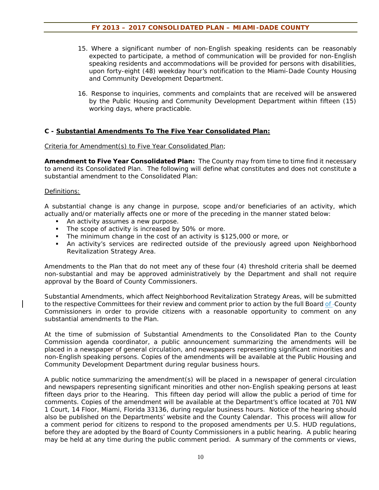- 15. Where a significant number of non-English speaking residents can be reasonably expected to participate, a method of communication will be provided for non-English speaking residents and accommodations will be provided for persons with disabilities, upon forty-eight (48) weekday hour's notification to the Miami-Dade County Housing and Community Development Department.
- 16. Response to inquiries, comments and complaints that are received will be answered by the Public Housing and Community Development Department within fifteen (15) working days, where practicable.

#### **C - Substantial Amendments To The Five Year Consolidated Plan:**

#### Criteria for Amendment(s) to Five Year Consolidated Plan;

**Amendment to Five Year Consolidated Plan:** The County may from time to time find it necessary to amend its Consolidated Plan. The following will define what constitutes and does not constitute a substantial amendment to the Consolidated Plan:

#### Definitions:

A substantial change is any change in purpose, scope and/or beneficiaries of an activity, which actually and/or materially affects one or more of the preceding in the manner stated below:

- An activity assumes a new purpose.
- The scope of activity is increased by 50% or more.
- The minimum change in the cost of an activity is \$125,000 or more, or
- An activity's services are redirected outside of the previously agreed upon Neighborhood Revitalization Strategy Area.

Amendments to the Plan that do not meet any of these four (4) threshold criteria shall be deemed non-substantial and may be approved administratively by the Department and shall not require approval by the Board of County Commissioners.

Substantial Amendments, which affect Neighborhood Revitalization Strategy Areas, will be submitted to the respective Committees for their review and comment prior to action by the full Board of -County Commissioners in order to provide citizens with a reasonable opportunity to comment on any substantial amendments to the Plan.

At the time of submission of Substantial Amendments to the Consolidated Plan to the County Commission agenda coordinator, a public announcement summarizing the amendments will be placed in a newspaper of general circulation, and newspapers representing significant minorities and non-English speaking persons. Copies of the amendments will be available at the Public Housing and Community Development Department during regular business hours.

A public notice summarizing the amendment(s) will be placed in a newspaper of general circulation and newspapers representing significant minorities and other non-English speaking persons at least fifteen days prior to the Hearing. This fifteen day period will allow the public a period of time for comments. Copies of the amendment will be available at the Department's office located at 701 NW 1 Court, 14 Floor, Miami, Florida 33136, during regular business hours. Notice of the hearing should also be published on the Departments' website and the County Calendar. This process will allow for a comment period for citizens to respond to the proposed amendments per U.S. HUD regulations, before they are adopted by the Board of County Commissioners in a public hearing. A public hearing may be held at any time during the public comment period. A summary of the comments or views,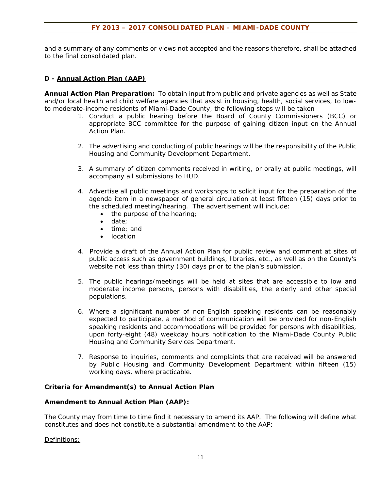and a summary of any comments or views not accepted and the reasons therefore, shall be attached to the final consolidated plan.

#### **D - Annual Action Plan (AAP)**

**Annual Action Plan Preparation:** To obtain input from public and private agencies as well as State and/or local health and child welfare agencies that assist in housing, health, social services, to lowto moderate-income residents of Miami-Dade County, the following steps will be taken

- 1. Conduct a public hearing before the Board of County Commissioners (BCC) or appropriate BCC committee for the purpose of gaining citizen input on the Annual Action Plan.
- 2. The advertising and conducting of public hearings will be the responsibility of the Public Housing and Community Development Department.
- 3. A summary of citizen comments received in writing, or orally at public meetings, will accompany all submissions to HUD.
- 4. Advertise all public meetings and workshops to solicit input for the preparation of the agenda item in a newspaper of general circulation at least fifteen (15) days prior to the scheduled meeting/hearing. The advertisement will include:
	- the purpose of the hearing;
	- date:
	- time: and
	- **•** location
- 4. Provide a draft of the Annual Action Plan for public review and comment at sites of public access such as government buildings, libraries, etc., as well as on the County's website not less than thirty (30) days prior to the plan's submission.
- 5. The public hearings/meetings will be held at sites that are accessible to low and moderate income persons, persons with disabilities, the elderly and other special populations.
- 6. Where a significant number of non-English speaking residents can be reasonably expected to participate, a method of communication will be provided for non-English speaking residents and accommodations will be provided for persons with disabilities, upon forty-eight (48) weekday hours notification to the Miami-Dade County Public Housing and Community Services Department.
- 7. Response to inquiries, comments and complaints that are received will be answered by Public Housing and Community Development Department within fifteen (15) working days, where practicable.

#### **Criteria for Amendment(s) to Annual Action Plan**

#### **Amendment to Annual Action Plan (AAP):**

The County may from time to time find it necessary to amend its AAP. The following will define what constitutes and does not constitute a substantial amendment to the AAP:

#### Definitions: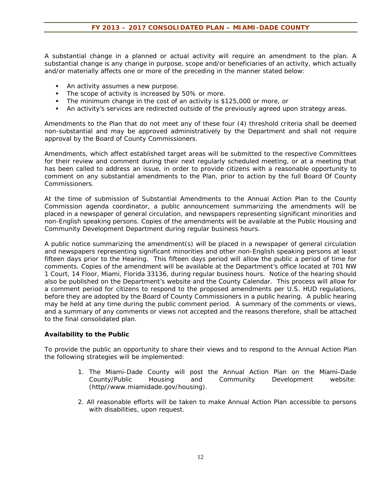A substantial change in a planned or actual activity will require an amendment to the plan. A substantial change is any change in purpose, scope and/or beneficiaries of an activity, which actually and/or materially affects one or more of the preceding in the manner stated below:

- An activity assumes a new purpose.
- The scope of activity is increased by 50% or more.
- The minimum change in the cost of an activity is \$125,000 or more, or
- An activity's services are redirected outside of the previously agreed upon strategy areas.

Amendments to the Plan that do not meet any of these four (4) threshold criteria shall be deemed non-substantial and may be approved administratively by the Department and shall not require approval by the Board of County Commissioners.

Amendments, which affect established target areas will be submitted to the respective Committees for their review and comment during their next regularly scheduled meeting, or at a meeting that has been called to address an issue, in order to provide citizens with a reasonable opportunity to comment on any substantial amendments to the Plan, prior to action by the full Board Of County Commissioners.

At the time of submission of Substantial Amendments to the Annual Action Plan to the County Commission agenda coordinator, a public announcement summarizing the amendments will be placed in a newspaper of general circulation, and newspapers representing significant minorities and non-English speaking persons. Copies of the amendments will be available at the Public Housing and Community Development Department during regular business hours.

A public notice summarizing the amendment(s) will be placed in a newspaper of general circulation and newspapers representing significant minorities and other non-English speaking persons at least fifteen days prior to the Hearing. This fifteen days period will allow the public a period of time for comments. Copies of the amendment will be available at the Department's office located at 701 NW 1 Court, 14 Floor, Miami, Florida 33136, during regular business hours. Notice of the hearing should also be published on the Department's website and the County Calendar. This process will allow for a comment period for citizens to respond to the proposed amendments per U.S. HUD regulations, before they are adopted by the Board of County Commissioners in a public hearing. A public hearing may be held at any time during the public comment period. A summary of the comments or views, and a summary of any comments or views not accepted and the reasons therefore, shall be attached to the final consolidated plan.

#### **Availability to the Public**

To provide the public an opportunity to share their views and to respond to the Annual Action Plan the following strategies will be implemented:

- 1. The Miami-Dade County will post the Annual Action Plan on the Miami-Dade County/Public Housing and Community Development website: (http//www.miamidade.gov/housing).
- 2. All reasonable efforts will be taken to make Annual Action Plan accessible to persons with disabilities, upon request.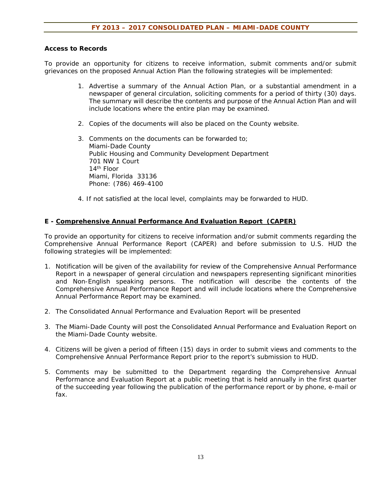#### **Access to Records**

To provide an opportunity for citizens to receive information, submit comments and/or submit grievances on the proposed Annual Action Plan the following strategies will be implemented:

- 1. Advertise a summary of the Annual Action Plan, or a substantial amendment in a newspaper of general circulation, soliciting comments for a period of thirty (30) days. The summary will describe the contents and purpose of the Annual Action Plan and will include locations where the entire plan may be examined.
- 2. Copies of the documents will also be placed on the County website.
- 3. Comments on the documents can be forwarded to; Miami-Dade County Public Housing and Community Development Department 701 NW 1 Court 14th Floor Miami, Florida 33136 Phone: (786) 469-4100
- 4. If not satisfied at the local level, complaints may be forwarded to HUD.

#### **E - Comprehensive Annual Performance And Evaluation Report (CAPER)**

To provide an opportunity for citizens to receive information and/or submit comments regarding the Comprehensive Annual Performance Report (CAPER) and before submission to U.S. HUD the following strategies will be implemented:

- 1. Notification will be given of the availability for review of the Comprehensive Annual Performance Report in a newspaper of general circulation and newspapers representing significant minorities and Non-English speaking persons. The notification will describe the contents of the Comprehensive Annual Performance Report and will include locations where the Comprehensive Annual Performance Report may be examined.
- 2. The Consolidated Annual Performance and Evaluation Report will be presented
- 3. The Miami-Dade County will post the Consolidated Annual Performance and Evaluation Report on the Miami-Dade County website.
- 4. Citizens will be given a period of fifteen (15) days in order to submit views and comments to the Comprehensive Annual Performance Report prior to the report's submission to HUD.
- 5. Comments may be submitted to the Department regarding the Comprehensive Annual Performance and Evaluation Report at a public meeting that is held annually in the first quarter of the succeeding year following the publication of the performance report or by phone, e-mail or fax.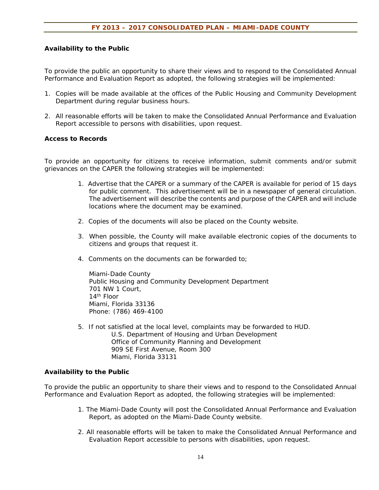#### **Availability to the Public**

To provide the public an opportunity to share their views and to respond to the Consolidated Annual Performance and Evaluation Report as adopted, the following strategies will be implemented:

- 1. Copies will be made available at the offices of the Public Housing and Community Development Department during regular business hours.
- 2. All reasonable efforts will be taken to make the Consolidated Annual Performance and Evaluation Report accessible to persons with disabilities, upon request.

#### **Access to Records**

To provide an opportunity for citizens to receive information, submit comments and/or submit grievances on the CAPER the following strategies will be implemented:

- 1. Advertise that the CAPER or a summary of the CAPER is available for period of 15 days for public comment. This advertisement will be in a newspaper of general circulation. The advertisement will describe the contents and purpose of the CAPER and will include locations where the document may be examined.
- 2. Copies of the documents will also be placed on the County website.
- 3. When possible, the County will make available electronic copies of the documents to citizens and groups that request it.
- 4. Comments on the documents can be forwarded to;

Miami-Dade County Public Housing and Community Development Department 701 NW 1 Court, 14th Floor Miami, Florida 33136 Phone: (786) 469-4100

5. If not satisfied at the local level, complaints may be forwarded to HUD. U.S. Department of Housing and Urban Development Office of Community Planning and Development 909 SE First Avenue, Room 300 Miami, Florida 33131

#### **Availability to the Public**

To provide the public an opportunity to share their views and to respond to the Consolidated Annual Performance and Evaluation Report as adopted, the following strategies will be implemented:

- 1. The Miami-Dade County will post the Consolidated Annual Performance and Evaluation Report, as adopted on the Miami-Dade County website.
- 2. All reasonable efforts will be taken to make the Consolidated Annual Performance and Evaluation Report accessible to persons with disabilities, upon request.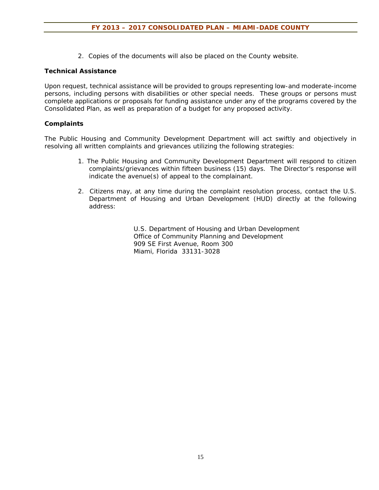2. Copies of the documents will also be placed on the County website.

#### **Technical Assistance**

Upon request, technical assistance will be provided to groups representing low-and moderate-income persons, including persons with disabilities or other special needs. These groups or persons must complete applications or proposals for funding assistance under any of the programs covered by the Consolidated Plan, as well as preparation of a budget for any proposed activity.

#### **Complaints**

The Public Housing and Community Development Department will act swiftly and objectively in resolving all written complaints and grievances utilizing the following strategies:

- 1. The Public Housing and Community Development Department will respond to citizen complaints/grievances within fifteen business (15) days. The Director's response will indicate the avenue(s) of appeal to the complainant.
- 2. Citizens may, at any time during the complaint resolution process, contact the U.S. Department of Housing and Urban Development (HUD) directly at the following address:

 U.S. Department of Housing and Urban Development Office of Community Planning and Development 909 SE First Avenue, Room 300 Miami, Florida 33131-3028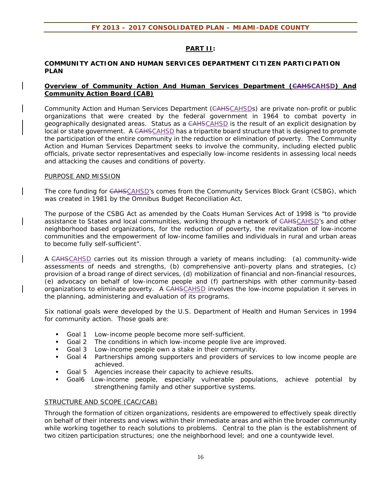#### **PART II:**

#### **COMMUNITY ACTION AND HUMAN SERVICES DEPARTMENT CITIZEN PARTICIPATION PLAN**

#### **Overview of Community Action And Human Services Department (GAHSCAHSD) And Community Action Board (CAB)**

Community Action and Human Services Department (CAHSCAHSDs) are private non-profit or public organizations that were created by the federal government in 1964 to combat poverty in geographically designated areas. Status as a CAHSCAHSD is the result of an explicit designation by local or state government. A CAHSCAHSD has a tripartite board structure that is designed to promote the participation of the entire community in the reduction or elimination of poverty. The Community Action and Human Services Department seeks to involve the community, including elected public officials, private sector representatives and especially low-income residents in assessing local needs and attacking the causes and conditions of poverty.

#### PURPOSE AND MISSION

The core funding for CAHSCAHSD's comes from the Community Services Block Grant (CSBG), which was created in 1981 by the Omnibus Budget Reconciliation Act.

The purpose of the CSBG Act as amended by the Coats Human Services Act of 1998 is "to provide assistance to States and local communities, working through a network of CAHSCAHSD's and other neighborhood based organizations, for the reduction of poverty, the revitalization of low-income communities and the empowerment of low-income families and individuals in rural and urban areas to become fully self-sufficient".

A CAHSCAHSD carries out its mission through a variety of means including: (a) community-wide assessments of needs and strengths, (b) comprehensive anti-poverty plans and strategies, (c) provision of a broad range of direct services, (d) mobilization of financial and non-financial resources, (e) advocacy on behalf of low-income people and (f) partnerships with other community-based organizations to eliminate poverty. A CAHSCAHSD involves the low-income population it serves in the planning, administering and evaluation of its programs.

Six national goals were developed by the U.S. Department of Health and Human Services in 1994 for community action. Those goals are:

- Goal 1 Low-income people become more self-sufficient.
- Goal 2 The conditions in which low-income people live are improved.
- Goal 3 Low-income people own a stake in their community.
- Goal 4 Partnerships among supporters and providers of services to low income people are achieved.
- Goal 5 Agencies increase their capacity to achieve results.
- Goal6 Low-income people, especially vulnerable populations, achieve potential by strengthening family and other supportive systems.

#### STRUCTURE AND SCOPE (CAC/CAB)

Through the formation of citizen organizations, residents are empowered to effectively speak directly on behalf of their interests and views within their immediate areas and within the broader community while working together to reach solutions to problems. Central to the plan is the establishment of two citizen participation structures; one the neighborhood level; and one a countywide level.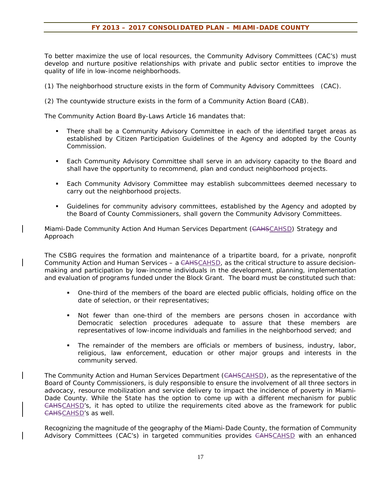To better maximize the use of local resources, the Community Advisory Committees (CAC's) must develop and nurture positive relationships with private and public sector entities to improve the quality of life in low-income neighborhoods.

(1) The neighborhood structure exists in the form of Community Advisory Committees (CAC).

(2) The countywide structure exists in the form of a Community Action Board (CAB).

The Community Action Board By-Laws Article 16 mandates that:

- There shall be a Community Advisory Committee in each of the identified target areas as established by Citizen Participation Guidelines of the Agency and adopted by the County Commission.
- Each Community Advisory Committee shall serve in an advisory capacity to the Board and shall have the opportunity to recommend, plan and conduct neighborhood projects.
- Each Community Advisory Committee may establish subcommittees deemed necessary to carry out the neighborhood projects.
- Guidelines for community advisory committees, established by the Agency and adopted by the Board of County Commissioners, shall govern the Community Advisory Committees.

Miami-Dade Community Action And Human Services Department (CAHSCAHSD) Strategy and Approach

The CSBG requires the formation and maintenance of a tripartite board, for a private, nonprofit Community Action and Human Services – a CAHSCAHSD, as the critical structure to assure decisionmaking and participation by low-income individuals in the development, planning, implementation and evaluation of programs funded under the Block Grant. The board must be constituted such that:

- One-third of the members of the board are elected public officials, holding office on the date of selection, or their representatives;
- Not fewer than one-third of the members are persons chosen in accordance with Democratic selection procedures adequate to assure that these members are representatives of low-income individuals and families in the neighborhood served; and
- The remainder of the members are officials or members of business, industry, labor, religious, law enforcement, education or other major groups and interests in the community served.

The Community Action and Human Services Department (CAHSCAHSD), as the representative of the Board of County Commissioners, is duly responsible to ensure the involvement of all three sectors in advocacy, resource mobilization and service delivery to impact the incidence of poverty in Miami-Dade County. While the State has the option to come up with a different mechanism for public CAHSCAHSD's, it has opted to utilize the requirements cited above as the framework for public CAHSCAHSD's as well.

Recognizing the magnitude of the geography of the Miami-Dade County, the formation of Community Advisory Committees (CAC's) in targeted communities provides CAHSCAHSD with an enhanced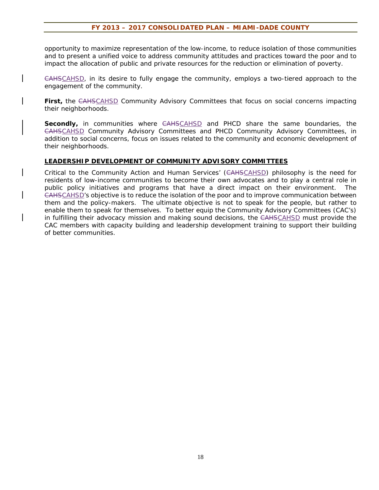opportunity to maximize representation of the low-income, to reduce isolation of those communities and to present a unified voice to address community attitudes and practices toward the poor and to impact the allocation of public and private resources for the reduction or elimination of poverty.

CAHSCAHSD, in its desire to fully engage the community, employs a two-tiered approach to the engagement of the community.

First, the CAHSCAHSD Community Advisory Committees that focus on social concerns impacting their neighborhoods.

**Secondly**, in communities where CAHSCAHSD and PHCD share the same boundaries, the CAHSCAHSD Community Advisory Committees and PHCD Community Advisory Committees, in addition to social concerns, focus on issues related to the community and economic development of their neighborhoods.

#### **LEADERSHIP DEVELOPMENT OF COMMUNITY ADVISORY COMMITTEES**

Critical to the Community Action and Human Services' (CAHSCAHSD) philosophy is the need for residents of low-income communities to become their own advocates and to play a central role in public policy initiatives and programs that have a direct impact on their environment. The CAHSCAHSD's objective is to reduce the isolation of the poor and to improve communication between them and the policy-makers. The ultimate objective is not to speak for the people, but rather to enable them to speak for themselves. To better equip the Community Advisory Committees (CAC's) in fulfilling their advocacy mission and making sound decisions, the CAHSCAHSD must provide the CAC members with capacity building and leadership development training to support their building of better communities.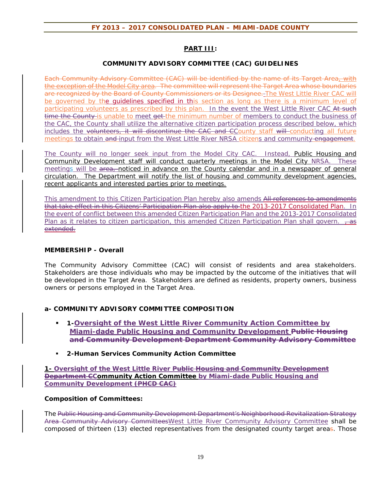#### **PART III:**

#### **COMMUNITY ADVISORY COMMITTEE (CAC) GUIDELINES**

Each Community Advisory Committee (CAC) will be identified by the name of its Target Area, with the exception of the Model City area. The committee will represent the Target Area whose boundaries are recognized by the Board of County Commissioners or its Designee. The West Little River CAC will be governed by the guidelines specified in this section as long as there is a minimum level of participating volunteers as prescribed by this plan. In the event the West Little River CAC At such time the County-is unable to meet get-the minimum number of members to conduct the business of the CAC, the County shall utilize the alternative citizen participation process described below, which includes the volunteers, it will discontinue the CAC and CCounty staff will conducting all future meetings to obtain and input from the West Little River NRSA citizens and community engagement.

The County will no longer seek input from the Model City CAC. Instead, Public Housing and Community Development staff will conduct quarterly meetings in the Model City NRSA. These meetings will be area, noticed in advance on the County calendar and in a newspaper of general circulation. The Department will notify the list of housing and community development agencies, recent applicants and interested parties prior to meetings.

This amendment to this Citizen Participation Plan hereby also amends All references to amendments that take effect in this Citizens' Participation Plan also apply to the 2013-2017 Consolidated Plan. In the event of conflict between this amended Citizen Participation Plan and the 2013-2017 Consolidated Plan as it relates to citizen participation, this amended Citizen Participation Plan shall govern.  $\frac{1}{10}$ extended.

#### **MEMBERSHIP - Overall**

The Community Advisory Committee (CAC) will consist of residents and area stakeholders. Stakeholders are those individuals who may be impacted by the outcome of the initiatives that will be developed in the Target Area. Stakeholders are defined as residents, property owners, business owners or persons employed in the Target Area.

#### **a- COMMUNITY ADVISORY COMMITTEE COMPOSITION**

- **1-Oversight of the West Little River Community Action Committee by Miami-dade Public Housing and Community Development Public Housing and Community Development Department Community Advisory Committee**
- **2-Human Services Community Action Committee**

**1- Oversight of the West Little River Public Housing and Community Development Department CCommunity Action Committee by Miami-dade Public Housing and Community Development (PHCD CAC)** 

#### **Composition of Committees:**

The Public Housing and Community Development Department's Neighborhood Revitalization Strategy Area Community Advisory CommitteesWest Little River Community Advisory Committee shall be composed of thirteen (13) elected representatives from the designated county target areas. Those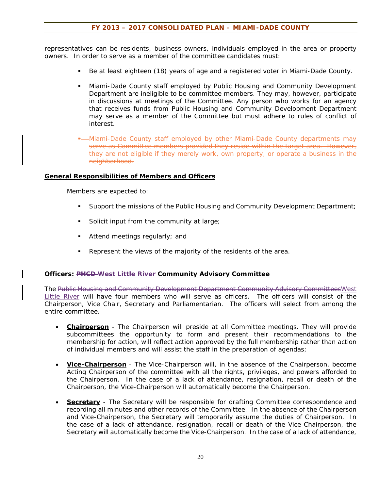representatives can be residents, business owners, individuals employed in the area or property owners. In order to serve as a member of the committee candidates must:

- Be at least eighteen (18) years of age and a registered voter in Miami-Dade County.
- Miami-Dade County staff employed by Public Housing and Community Development Department are ineligible to be committee members. They may, however, participate in discussions at meetings of the Committee. Any person who works for an agency that receives funds from Public Housing and Community Development Department may serve as a member of the Committee but must adhere to rules of conflict of interest.
- Miami-Dade County staff employed by other Miami-Dade County departments may serve as Committee members provided they reside within the target area. However, they are not eligible if they merely work, own property, or operate a business in the neighborhood.

#### **General Responsibilities of Members and Officers**

Members are expected to:

- Support the missions of the Public Housing and Community Development Department;
- Solicit input from the community at large;
- Attend meetings regularly; and
- Represent the views of the majority of the residents of the area.

#### **Officers: PHCD West Little River Community Advisory Committee**

The Public Housing and Community Development Department Community Advisory CommitteesWest Little River will have four members who will serve as officers. The officers will consist of the Chairperson, Vice Chair, Secretary and Parliamentarian. The officers will select from among the entire committee.

- **Chairperson** The Chairperson will preside at all Committee meetings. They will provide subcommittees the opportunity to form and present their recommendations to the membership for action, will reflect action approved by the full membership rather than action of individual members and will assist the staff in the preparation of agendas;
- **Vice-Chairperson** The Vice-Chairperson will, in the absence of the Chairperson, become Acting Chairperson of the committee with all the rights, privileges, and powers afforded to the Chairperson. In the case of a lack of attendance, resignation, recall or death of the Chairperson, the Vice-Chairperson will automatically become the Chairperson.
- **Secretary** The Secretary will be responsible for drafting Committee correspondence and recording all minutes and other records of the Committee. In the absence of the Chairperson and Vice-Chairperson, the Secretary will temporarily assume the duties of Chairperson. In the case of a lack of attendance, resignation, recall or death of the Vice-Chairperson, the Secretary will automatically become the Vice-Chairperson. In the case of a lack of attendance,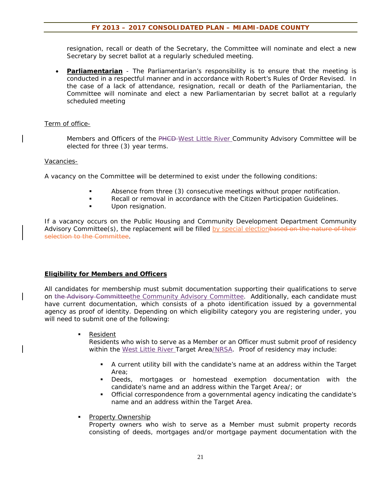resignation, recall or death of the Secretary, the Committee will nominate and elect a new Secretary by secret ballot at a regularly scheduled meeting.

 **Parliamentarian** - The Parliamentarian's responsibility is to ensure that the meeting is conducted in a respectful manner and in accordance with Robert's Rules of Order Revised. In the case of a lack of attendance, resignation, recall or death of the Parliamentarian, the Committee will nominate and elect a new Parliamentarian by secret ballot at a regularly scheduled meeting

#### Term of office-

Members and Officers of the PHCD-West Little River Community Advisory Committee will be elected for three (3) year terms.

#### Vacancies-

A vacancy on the Committee will be determined to exist under the following conditions:

- Absence from three (3) consecutive meetings without proper notification.
- **Recall or removal in accordance with the Citizen Participation Guidelines.**
- **Upon resignation.**

If a vacancy occurs on the Public Housing and Community Development Department Community Advisory Committee(s), the replacement will be filled by special electionbased on the nature of their selection to the Committee.

#### **Eligibility for Members and Officers**

All candidates for membership must submit documentation supporting their qualifications to serve on the Advisory Committeethe Community Advisory Committee. Additionally, each candidate must have current documentation, which consists of a photo identification issued by a governmental agency as proof of identity. Depending on which eligibility category you are registering under, you will need to submit one of the following:

Resident

Residents who wish to serve as a Member or an Officer must submit proof of residency within the West Little River Target Area/NRSA. Proof of residency may include:

- A current utility bill with the candidate's name at an address within the Target Area;
- Deeds, mortgages or homestead exemption documentation with the candidate's name and an address within the Target Area/; or
- Official correspondence from a governmental agency indicating the candidate's name and an address within the Target Area.

#### Property Ownership

Property owners who wish to serve as a Member must submit property records consisting of deeds, mortgages and/or mortgage payment documentation with the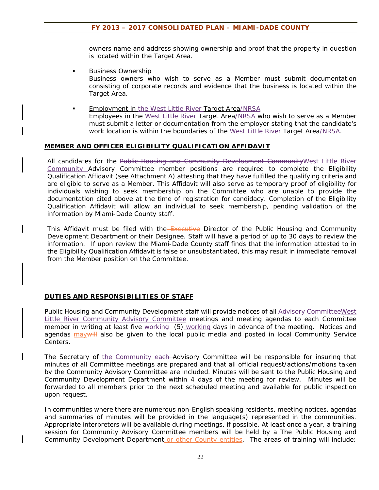owners name and address showing ownership and proof that the property in question is located within the Target Area.

Business Ownership

Business owners who wish to serve as a Member must submit documentation consisting of corporate records and evidence that the business is located within the Target Area.

 Employment in the West Little River Target Area/NRSA Employees in the West Little River Target Area/NRSA who wish to serve as a Member must submit a letter or documentation from the employer stating that the candidate's work location is within the boundaries of the West Little River Target Area/NRSA.

#### **MEMBER AND OFFICER ELIGIBILITY QUALIFICATION AFFIDAVIT**

All candidates for the Public Housing and Community Development CommunityWest Little River Community Advisory Committee member positions are required to complete the Eligibility Qualification Affidavit (see Attachment A) attesting that they have fulfilled the qualifying criteria and are eligible to serve as a Member. This Affidavit will also serve as temporary proof of eligibility for individuals wishing to seek membership on the Committee who are unable to provide the documentation cited above at the time of registration for candidacy. Completion of the Eligibility Qualification Affidavit will allow an individual to seek membership, pending validation of the information by Miami-Dade County staff.

This Affidavit must be filed with the Executive Director of the Public Housing and Community Development Department or their Designee. Staff will have a period of up to 30 days to review the information. If upon review the Miami-Dade County staff finds that the information attested to in the Eligibility Qualification Affidavit is false or unsubstantiated, this may result in immediate removal from the Member position on the Committee.

#### **DUTIES AND RESPONSIBILITIES OF STAFF**

Public Housing and Community Development staff will provide notices of all Advisory Committee West Little River Community Advisory Committee meetings and meeting agendas to each Committee member in writing at least five working (5) working days in advance of the meeting. Notices and agendas may will also be given to the local public media and posted in local Community Service Centers.

The Secretary of the Community each Advisory Committee will be responsible for insuring that minutes of all Committee meetings are prepared and that all official request/actions/motions taken by the Community Advisory Committee are included. Minutes will be sent to the Public Housing and Community Development Department within 4 days of the meeting for review. Minutes will be forwarded to all members prior to the next scheduled meeting and available for public inspection upon request.

In communities where there are numerous non-English speaking residents, meeting notices, agendas and summaries of minutes will be provided in the language(s) represented in the communities. Appropriate interpreters will be available during meetings, if possible. At least once a year, a training session for Community Advisory Committee members will be held by a The Public Housing and Community Development Department or other County entities. The areas of training will include: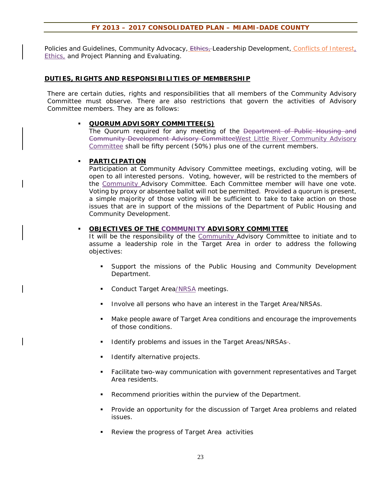Policies and Guidelines, Community Advocacy, Ethies, Leadership Development, Conflicts of Interest, **Ethics**, and Project Planning and Evaluating.

#### **DUTIES, RIGHTS AND RESPONSIBILITIES OF MEMBERSHIP**

There are certain duties, rights and responsibilities that all members of the Community Advisory Committee must observe. There are also restrictions that govern the activities of Advisory Committee members. They are as follows:

#### **QUORUM ADVISORY COMMITTEE(S)**

The Quorum required for any meeting of the Department of Public Housing and Community Development Advisory CommitteeWest Little River Community Advisory Committee shall be fifty percent (50%) plus one of the current members.

#### **PARTICIPATION**

Participation at Community Advisory Committee meetings, excluding voting, will be open to all interested persons. Voting, however, will be restricted to the members of the Community Advisory Committee. Each Committee member will have one vote. Voting by proxy or absentee ballot will not be permitted. Provided a quorum is present, a simple majority of those voting will be sufficient to take to take action on those issues that are in support of the missions of the Department of Public Housing and Community Development.

#### **OBJECTIVES OF THE COMMUNITY ADVISORY COMMITTEE**

It will be the responsibility of the Community Advisory Committee to initiate and to assume a leadership role in the Target Area in order to address the following objectives:

- Support the missions of the Public Housing and Community Development Department.
- Conduct Target Area/NRSA meetings.
- Involve all persons who have an interest in the Target Area/NRSAs.
- Make people aware of Target Area conditions and encourage the improvements of those conditions.
- Identify problems and issues in the Target Areas/NRSAs-.
- Identify alternative projects.
- Facilitate two-way communication with government representatives and Target Area residents.
- Recommend priorities within the purview of the Department.
- Provide an opportunity for the discussion of Target Area problems and related issues.
- Review the progress of Target Area activities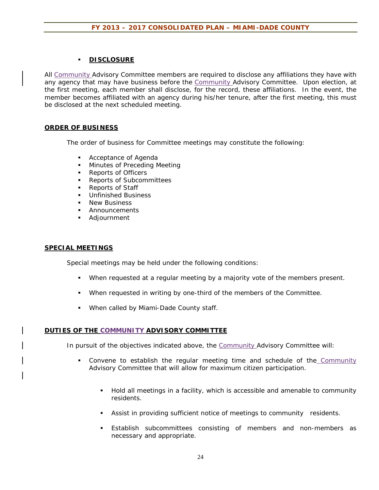### **DISCLOSURE**

All Community Advisory Committee members are required to disclose any affiliations they have with any agency that may have business before the Community Advisory Committee. Upon election, at the first meeting, each member shall disclose, for the record, these affiliations. In the event, the member becomes affiliated with an agency during his/her tenure, after the first meeting, this must be disclosed at the next scheduled meeting.

#### **ORDER OF BUSINESS**

The order of business for Committee meetings may constitute the following:

- **Acceptance of Agenda**
- **Minutes of Preceding Meeting**
- **Reports of Officers**
- **Reports of Subcommittees**
- Reports of Staff
- **Unfinished Business**
- New Business
- **Announcements**
- Adjournment

#### **SPECIAL MEETINGS**

Special meetings may be held under the following conditions:

- When requested at a regular meeting by a majority vote of the members present.
- When requested in writing by one-third of the members of the Committee.
- **When called by Miami-Dade County staff.**

#### **DUTIES OF THE COMMUNITY ADVISORY COMMITTEE**

In pursuit of the objectives indicated above, the Community Advisory Committee will:

- Convene to establish the regular meeting time and schedule of the Community Advisory Committee that will allow for maximum citizen participation.
	- Hold all meetings in a facility, which is accessible and amenable to community residents.
	- Assist in providing sufficient notice of meetings to community residents.
	- Establish subcommittees consisting of members and non-members as necessary and appropriate.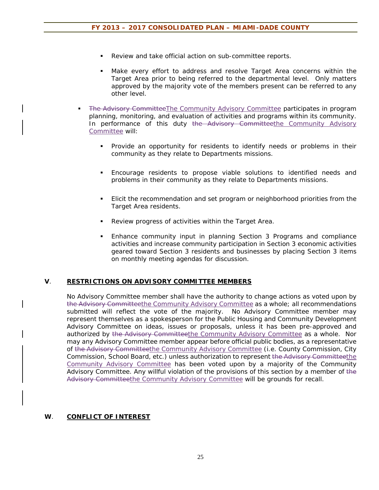- Review and take official action on sub-committee reports.
- Make every effort to address and resolve Target Area concerns within the Target Area prior to being referred to the departmental level. Only matters approved by the majority vote of the members present can be referred to any other level.
- The Advisory CommitteeThe Community Advisory Committee participates in program planning, monitoring, and evaluation of activities and programs within its community. In performance of this duty the Advisory Committeethe Community Advisory Committee will:
	- **Provide an opportunity for residents to identify needs or problems in their** community as they relate to Departments missions.
	- Encourage residents to propose viable solutions to identified needs and problems in their community as they relate to Departments missions.
	- Elicit the recommendation and set program or neighborhood priorities from the Target Area residents.
	- **Review progress of activities within the Target Area.**
	- **Enhance community input in planning Section 3 Programs and compliance** activities and increase community participation in Section 3 economic activities geared toward Section 3 residents and businesses by placing Section 3 items on monthly meeting agendas for discussion.

#### **V**. **RESTRICTIONS ON ADVISORY COMMITTEE MEMBERS**

No Advisory Committee member shall have the authority to change actions as voted upon by the Advisory Committeethe Community Advisory Committee as a whole; all recommendations submitted will reflect the vote of the majority. No Advisory Committee member may represent themselves as a spokesperson for the Public Housing and Community Development Advisory Committee on ideas, issues or proposals, unless it has been pre-approved and authorized by the Advisory Committeethe Community Advisory Committee as a whole. Nor may any Advisory Committee member appear before official public bodies, as a representative of the Advisory Committeethe Community Advisory Committee (i.e. County Commission, City Commission, School Board, etc.) unless authorization to represent the Advisory Committeethe Community Advisory Committee has been voted upon by a majority of the Community Advisory Committee. Any willful violation of the provisions of this section by a member of the Advisory Committeethe Community Advisory Committee will be grounds for recall.

#### **W**. **CONFLICT OF INTEREST**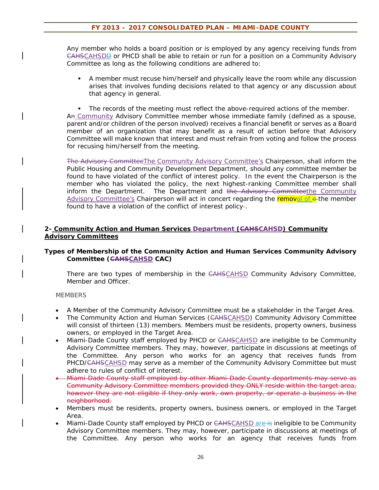Any member who holds a board position or is employed by any agency receiving funds from CAHSCAHSDD or PHCD shall be able to retain or run for a position on a Community Advisory Committee as long as the following conditions are adhered to:

 A member must recuse him/herself and physically leave the room while any discussion arises that involves funding decisions related to that agency or any discussion about that agency in general.

The records of the meeting must reflect the above-required actions of the member. An Community Advisory Committee member whose immediate family (defined as a spouse, parent and/or children of the person involved) receives a financial benefit or serves as a Board member of an organization that may benefit as a result of action before that Advisory Committee will make known that interest and must refrain from voting and follow the process for recusing him/herself from the meeting.

The Advisory CommitteeThe Community Advisory Committee's Chairperson, shall inform the Public Housing and Community Development Department, should any committee member be found to have violated of the conflict of interest policy. In the event the Chairperson is the member who has violated the policy, the next highest-ranking Committee member shall inform the Department. The Department and the Advisory Committeethe Community Advisory Committee's Chairperson will act in concert regarding the **removal of e**-the member found to have a violation of the conflict of interest policy-.

#### **2- Community Action and Human Services Department (CAHSCAHSD) Community Advisory Committees**

#### **Types of Membership of the Community Action and Human Services Community Advisory Committee (CAHSCAHSD CAC)**

There are two types of membership in the CAHSCAHSD Community Advisory Committee, Member and Officer.

#### **MEMBERS**

- A Member of the Community Advisory Committee must be a stakeholder in the Target Area.
- The Community Action and Human Services (CAHSCAHSD) Community Advisory Committee will consist of thirteen (13) members. Members must be residents, property owners, business owners, or employed in the Target Area.
- Miami-Dade County staff employed by PHCD or CAHSCAHSD are ineligible to be Community Advisory Committee members. They may, however, participate in discussions at meetings of the Committee. Any person who works for an agency that receives funds from PHCD/<del>CAHSCAHSD</del> may serve as a member of the Community Advisory Committee but must adhere to rules of conflict of interest.
- Miami-Dade County staff employed by other Miami-Dade County departments may serve as Community Advisory Committee members provided they ONLY reside within the target area, however they are not eligible if they only work, own property, or operate a business in the neighborhood.
- Members must be residents, property owners, business owners, or employed in the Target Area.
- Miami-Dade County staff employed by PHCD or CAHSCAHSD are is ineligible to be Community Advisory Committee members. They may, however, participate in discussions at meetings of the Committee. Any person who works for an agency that receives funds from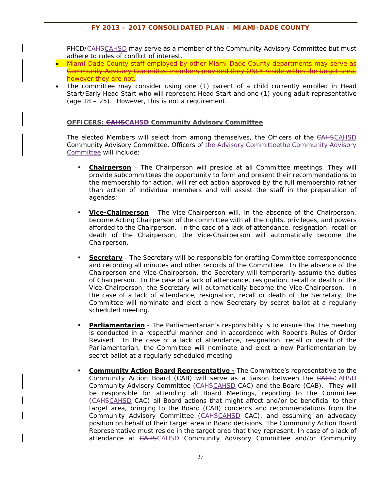PHCD/<del>CAHS</del>CAHSD may serve as a member of the Community Advisory Committee but must adhere to rules of conflict of interest.

- Miami-Dade County staff employed by other Miami-Dade County departments may serve as Community Advisory Committee members provided they ONLY reside within the target area, however they are not.
- The committee may consider using one (1) parent of a child currently enrolled in Head Start/Early Head Start who will represent Head Start and one (1) young adult representative (age 18 – 25). However, this is not a requirement.

#### **OFFICERS: CAHSCAHSD Community Advisory Committee**

The elected Members will select from among themselves, the Officers of the CAHSCAHSD Community Advisory Committee. Officers of the Advisory Committeethe Community Advisory Committee will include:

- **Chairperson** The Chairperson will preside at all Committee meetings. They will provide subcommittees the opportunity to form and present their recommendations to the membership for action, will reflect action approved by the full membership rather than action of individual members and will assist the staff in the preparation of agendas;
- **Vice-Chairperson** The Vice-Chairperson will, in the absence of the Chairperson, become Acting Chairperson of the committee with all the rights, privileges, and powers afforded to the Chairperson. In the case of a lack of attendance, resignation, recall or death of the Chairperson, the Vice-Chairperson will automatically become the Chairperson.
- **Secretary** The Secretary will be responsible for drafting Committee correspondence and recording all minutes and other records of the Committee. In the absence of the Chairperson and Vice-Chairperson, the Secretary will temporarily assume the duties of Chairperson. In the case of a lack of attendance, resignation, recall or death of the Vice-Chairperson, the Secretary will automatically become the Vice-Chairperson. In the case of a lack of attendance, resignation, recall or death of the Secretary, the Committee will nominate and elect a new Secretary by secret ballot at a regularly scheduled meeting.
- **Parliamentarian** The Parliamentarian's responsibility is to ensure that the meeting is conducted in a respectful manner and in accordance with Robert's Rules of Order Revised. In the case of a lack of attendance, resignation, recall or death of the Parliamentarian, the Committee will nominate and elect a new Parliamentarian by secret ballot at a regularly scheduled meeting
- **Community Action Board Representative -** The Committee's representative to the Community Action Board (CAB) will serve as a liaison between the CAHSCAHSD Community Advisory Committee (CAHSCAHSD CAC) and the Board (CAB). They will be responsible for attending all Board Meetings, reporting to the Committee (CAHSCAHSD CAC) all Board actions that might affect and/or be beneficial to their target area, bringing to the Board (CAB) concerns and recommendations from the Community Advisory Committee (CAHSCAHSD CAC), and assuming an advocacy position on behalf of their target area in Board decisions. The Community Action Board Representative must reside in the target area that they represent. In case of a lack of attendance at CAHSCAHSD Community Advisory Committee and/or Community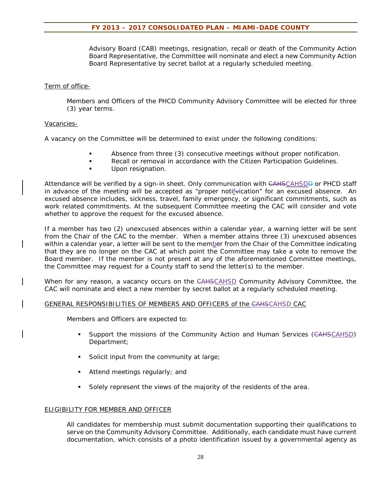Advisory Board (CAB) meetings, resignation, recall or death of the Community Action Board Representative, the Committee will nominate and elect a new Community Action Board Representative by secret ballot at a regularly scheduled meeting.

#### Term of office-

Members and Officers of the PHCD Community Advisory Committee will be elected for three (3) year terms.

#### Vacancies-

A vacancy on the Committee will be determined to exist under the following conditions:

- Absence from three (3) consecutive meetings without proper notification.
- Recall or removal in accordance with the Citizen Participation Guidelines.
- Upon resignation.

Attendance will be verified by a sign-in sheet. Only communication with CAHSCAHSDD or PHCD staff in advance of the meeting will be accepted as "proper notifulcation" for an excused absence. An excused absence includes, sickness, travel, family emergency, or significant commitments, such as work related commitments. At the subsequent Committee meeting the CAC will consider and vote whether to approve the request for the excused absence.

If a member has two (2) unexcused absences within a calendar year, a warning letter will be sent from the Chair of the CAC to the member. When a member attains three (3) unexcused absences within a calendar year, a letter will be sent to the member from the Chair of the Committee indicating that they are no longer on the CAC at which point the Committee may take a vote to remove the Board member. If the member is not present at any of the aforementioned Committee meetings, the Committee may request for a County staff to send the letter(s) to the member.

When for any reason, a vacancy occurs on the CAHSCAHSD Community Advisory Committee, the CAC will nominate and elect a new member by secret ballot at a regularly scheduled meeting.

#### GENERAL RESPONSIBILITIES OF MEMBERS AND OFFICERS of the CAHSCAHSD CAC

Members and Officers are expected to:

- **Support the missions of the Community Action and Human Services (CAHSCAHSD)** Department;
- Solicit input from the community at large;
- Attend meetings regularly; and
- Solely represent the views of the majority of the residents of the area.

#### ELIGIBILITY FOR MEMBER AND OFFICER

All candidates for membership must submit documentation supporting their qualifications to serve on the Community Advisory Committee. Additionally, each candidate must have current documentation, which consists of a photo identification issued by a governmental agency as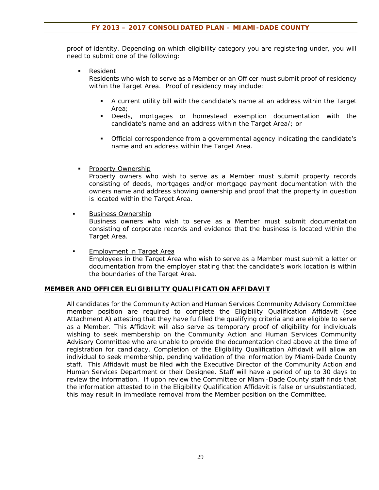proof of identity. Depending on which eligibility category you are registering under, you will need to submit one of the following:

**Resident** 

Residents who wish to serve as a Member or an Officer must submit proof of residency within the Target Area. Proof of residency may include:

- A current utility bill with the candidate's name at an address within the Target Area;
- Deeds, mortgages or homestead exemption documentation with the candidate's name and an address within the Target Area/; or
- Official correspondence from a governmental agency indicating the candidate's name and an address within the Target Area.
- Property Ownership

Property owners who wish to serve as a Member must submit property records consisting of deeds, mortgages and/or mortgage payment documentation with the owners name and address showing ownership and proof that the property in question is located within the Target Area.

**Business Ownership** 

Business owners who wish to serve as a Member must submit documentation consisting of corporate records and evidence that the business is located within the Target Area.

**Employment in Target Area** Employees in the Target Area who wish to serve as a Member must submit a letter or documentation from the employer stating that the candidate's work location is within the boundaries of the Target Area.

#### **MEMBER AND OFFICER ELIGIBILITY QUALIFICATION AFFIDAVIT**

All candidates for the Community Action and Human Services Community Advisory Committee member position are required to complete the Eligibility Qualification Affidavit (see Attachment A) attesting that they have fulfilled the qualifying criteria and are eligible to serve as a Member. This Affidavit will also serve as temporary proof of eligibility for individuals wishing to seek membership on the Community Action and Human Services Community Advisory Committee who are unable to provide the documentation cited above at the time of registration for candidacy. Completion of the Eligibility Qualification Affidavit will allow an individual to seek membership, pending validation of the information by Miami-Dade County staff. This Affidavit must be filed with the Executive Director of the Community Action and Human Services Department or their Designee. Staff will have a period of up to 30 days to review the information. If upon review the Committee or Miami-Dade County staff finds that the information attested to in the Eligibility Qualification Affidavit is false or unsubstantiated, this may result in immediate removal from the Member position on the Committee.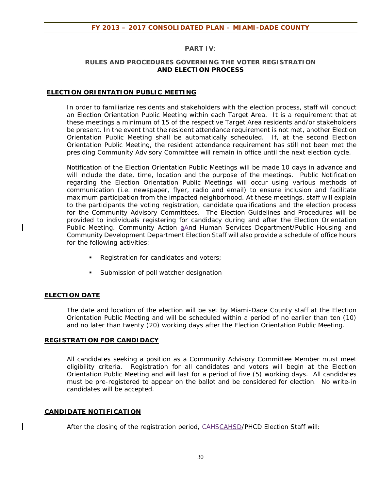#### **PART IV***:*

#### **RULES AND PROCEDURES GOVERNING THE VOTER REGISTRATION AND ELECTION PROCESS**

#### **ELECTION ORIENTATION PUBLIC MEETING**

In order to familiarize residents and stakeholders with the election process, staff will conduct an Election Orientation Public Meeting within each Target Area. It is a requirement that at these meetings a minimum of 15 of the respective Target Area residents and/or stakeholders be present. In the event that the resident attendance requirement is not met, another Election Orientation Public Meeting shall be automatically scheduled. If, at the second Election Orientation Public Meeting, the resident attendance requirement has still not been met the presiding Community Advisory Committee will remain in office until the next election cycle.

Notification of the Election Orientation Public Meetings will be made 10 days in advance and will include the date, time, location and the purpose of the meetings. Public Notification regarding the Election Orientation Public Meetings will occur using various methods of communication (i.e. newspaper, flyer, radio and email) to ensure inclusion and facilitate maximum participation from the impacted neighborhood. At these meetings, staff will explain to the participants the voting registration, candidate qualifications and the election process for the Community Advisory Committees.The Election Guidelines and Procedures will be provided to individuals registering for candidacy during and after the Election Orientation Public Meeting. Community Action aAnd Human Services Department/Public Housing and Community Development Department Election Staff will also provide a schedule of office hours for the following activities:

- Registration for candidates and voters;
- **Submission of poll watcher designation**

#### **ELECTION DATE**

The date and location of the election will be set by Miami-Dade County staff at the Election Orientation Public Meeting and will be scheduled within a period of no earlier than ten (10) and no later than twenty (20) working days after the Election Orientation Public Meeting.

#### **REGISTRATION FOR CANDIDACY**

All candidates seeking a position as a Community Advisory Committee Member must meet eligibility criteria. Registration for all candidates and voters will begin at the Election Orientation Public Meeting and will last for a period of five (5) working days. All candidates must be pre-registered to appear on the ballot and be considered for election. No write-in candidates will be accepted.

#### **CANDIDATE NOTIFICATION**

After the closing of the registration period, CAHSCAHSD/PHCD Election Staff will: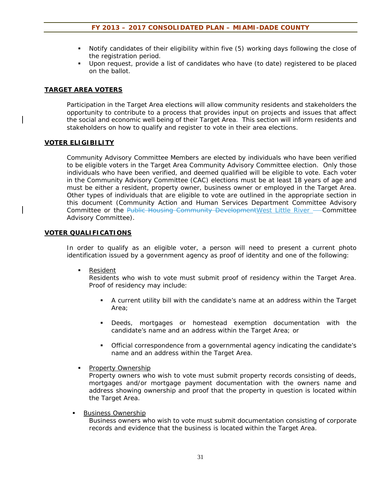- Notify candidates of their eligibility within five (5) working days following the close of the registration period.
- Upon request, provide a list of candidates who have (to date) registered to be placed on the ballot.

#### **TARGET AREA VOTERS**

Participation in the Target Area elections will allow community residents and stakeholders the opportunity to contribute to a process that provides input on projects and issues that affect the social and economic well-being of their Target Area. This section will inform residents and stakeholders on how to qualify and register to vote in their area elections.

#### **VOTER ELIGIBILITY**

Community Advisory Committee Members are elected by individuals who have been verified to be eligible voters in the Target Area Community Advisory Committee election. Only those individuals who have been verified, and deemed qualified will be eligible to vote. Each voter in the Community Advisory Committee (CAC) elections must be at least 18 years of age and must be either a resident, property owner, business owner or employed in the Target Area. Other types of individuals that are eligible to vote are outlined in the appropriate section in this document (Community Action and Human Services Department Committee Advisory Committee or the Public Housing Community Development West Little River - Committee Advisory Committee).

#### **VOTER QUALIFICATIONS**

In order to qualify as an eligible voter, a person will need to present a current photo identification issued by a government agency as proof of identity and one of the following:

**Resident** 

Residents who wish to vote must submit proof of residency within the Target Area. Proof of residency may include:

- A current utility bill with the candidate's name at an address within the Target Area;
- Deeds, mortgages or homestead exemption documentation with the candidate's name and an address within the Target Area; or
- Official correspondence from a governmental agency indicating the candidate's name and an address within the Target Area.
- **Property Ownership**

Property owners who wish to vote must submit property records consisting of deeds, mortgages and/or mortgage payment documentation with the owners name and address showing ownership and proof that the property in question is located within the Target Area.

Business Ownership

Business owners who wish to vote must submit documentation consisting of corporate records and evidence that the business is located within the Target Area.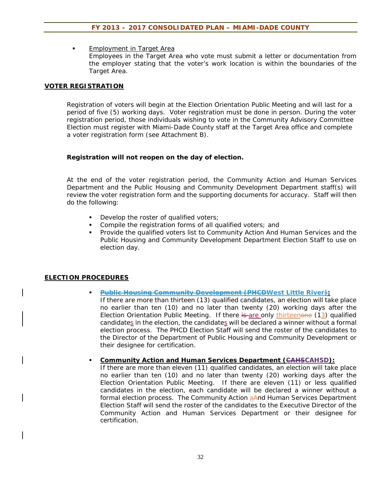Employment in Target Area Employees in the Target Area who vote must submit a letter or documentation from the employer stating that the voter's work location is within the boundaries of the Target Area.

#### **VOTER REGISTRATION**

Registration of voters will begin at the Election Orientation Public Meeting and will last for a period of five (5) working days. Voter registration must be done in person. During the voter registration period, those individuals wishing to vote in the Community Advisory Committee Election must register with Miami-Dade County staff at the Target Area office and complete a voter registration form (see Attachment B).

#### **Registration will not reopen on the day of election.**

At the end of the voter registration period, the Community Action and Human Services Department and the Public Housing and Community Development Department staff(s) will review the voter registration form and the supporting documents for accuracy. Staff will then do the following:

- Develop the roster of qualified voters;
- Compile the registration forms of all qualified voters; and
- **Provide the qualified voters list to Community Action And Human Services and the** Public Housing and Community Development Department Election Staff to use on election day.

#### **ELECTION PROCEDURES**

- **Public Housing Community Development (PHCDWest Little River):**  If there are more than thirteen (13) qualified candidates, an election will take place no earlier than ten (10) and no later than twenty (20) working days after the Election Orientation Public Meeting. If there is are only thirteenone (13) qualified candidates in the election, the candidates will be declared a winner without a formal election process. The PHCD Election Staff will send the roster of the candidates to the Director of the Department of Public Housing and Community Development or their designee for certification.
- **Community Action and Human Services Department (CAHSCAHSD):**

If there are more than eleven (11) qualified candidates, an election will take place no earlier than ten (10) and no later than twenty (20) working days after the Election Orientation Public Meeting. If there are eleven (11) or less qualified candidates in the election, each candidate will be declared a winner without a formal election process. The Community Action aAnd Human Services Department Election Staff will send the roster of the candidates to the Executive Director of the Community Action and Human Services Department or their designee for certification.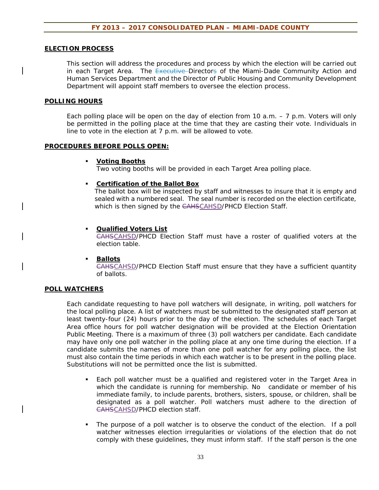#### **ELECTION PROCESS**

This section will address the procedures and process by which the election will be carried out in each Target Area. The Executive Directors of the Miami-Dade Community Action and Human Services Department and the Director of Public Housing and Community Development Department will appoint staff members to oversee the election process.

#### **POLLING HOURS**

Each polling place will be open on the day of election from 10 a.m.  $-7$  p.m. Voters will only be permitted in the polling place at the time that they are casting their vote. Individuals in line to vote in the election at 7 p.m. will be allowed to vote.

#### **PROCEDURES BEFORE POLLS OPEN:**

#### **Voting Booths**

Two voting booths will be provided in each Target Area polling place.

#### **Certification of the Ballot Box**

The ballot box will be inspected by staff and witnesses to insure that it is empty and sealed with a numbered seal. The seal number is recorded on the election certificate, which is then signed by the CAHSCAHSD/PHCD Election Staff.

#### **Qualified Voters List**

CAHSCAHSD/PHCD Election Staff must have a roster of qualified voters at the election table.

#### **Ballots**

CAHSCAHSD/PHCD Election Staff must ensure that they have a sufficient quantity of ballots.

#### **POLL WATCHERS**

Each candidate requesting to have poll watchers will designate, in writing, poll watchers for the local polling place. A list of watchers must be submitted to the designated staff person at least twenty-four (24) hours prior to the day of the election. The schedules of each Target Area office hours for poll watcher designation will be provided at the Election Orientation Public Meeting. There is a maximum of three (3) poll watchers per candidate. Each candidate may have only one poll watcher in the polling place at any one time during the election. If a candidate submits the names of more than one poll watcher for any polling place, the list must also contain the time periods in which each watcher is to be present in the polling place. Substitutions will not be permitted once the list is submitted.

- Each poll watcher must be a qualified and registered voter in the Target Area in which the candidate is running for membership. No candidate or member of his immediate family, to include parents, brothers, sisters, spouse, or children, shall be designated as a poll watcher. Poll watchers must adhere to the direction of CAHSCAHSD/PHCD election staff.
- The purpose of a poll watcher is to observe the conduct of the election. If a poll watcher witnesses election irregularities or violations of the election that do not comply with these guidelines, they must inform staff. If the staff person is the one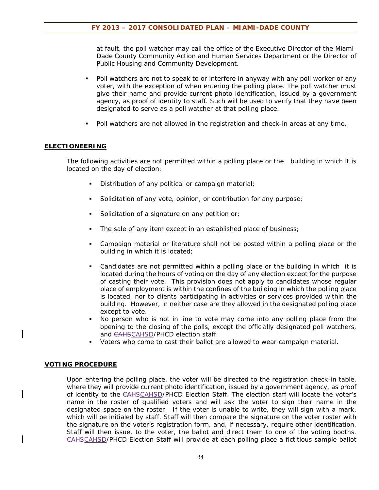at fault, the poll watcher may call the office of the Executive Director of the Miami-Dade County Community Action and Human Services Department or the Director of Public Housing and Community Development.

- Poll watchers are not to speak to or interfere in anyway with any poll worker or any voter, with the exception of when entering the polling place. The poll watcher must give their name and provide current photo identification, issued by a government agency, as proof of identity to staff. Such will be used to verify that they have been designated to serve as a poll watcher at that polling place.
- Poll watchers are not allowed in the registration and check-in areas at any time.

#### **ELECTIONEERING**

The following activities are not permitted within a polling place or the building in which it is located on the day of election:

- Distribution of any political or campaign material;
- Solicitation of any vote, opinion, or contribution for any purpose;
- Solicitation of a signature on any petition or;
- The sale of any item except in an established place of business;
- Campaign material or literature shall not be posted within a polling place or the building in which it is located;
- Candidates are not permitted within a polling place or the building in which it is located during the hours of voting on the day of any election except for the purpose of casting their vote. This provision does not apply to candidates whose regular place of employment is within the confines of the building in which the polling place is located, nor to clients participating in activities or services provided within the building. However, in neither case are they allowed in the designated polling place except to vote.
- No person who is not in line to vote may come into any polling place from the opening to the closing of the polls, except the officially designated poll watchers, and CAHSCAHSD/PHCD election staff.
- Voters who come to cast their ballot are allowed to wear campaign material.

#### **VOTING PROCEDURE**

Upon entering the polling place, the voter will be directed to the registration check-in table, where they will provide current photo identification, issued by a government agency, as proof of identity to the CAHSCAHSD/PHCD Election Staff. The election staff will locate the voter's name in the roster of qualified voters and will ask the voter to sign their name in the designated space on the roster. If the voter is unable to write, they will sign with a mark, which will be initialed by staff. Staff will then compare the signature on the voter roster with the signature on the voter's registration form, and, if necessary, require other identification. Staff will then issue, to the voter, the ballot and direct them to one of the voting booths. CAHSCAHSD/PHCD Election Staff will provide at each polling place a fictitious sample ballot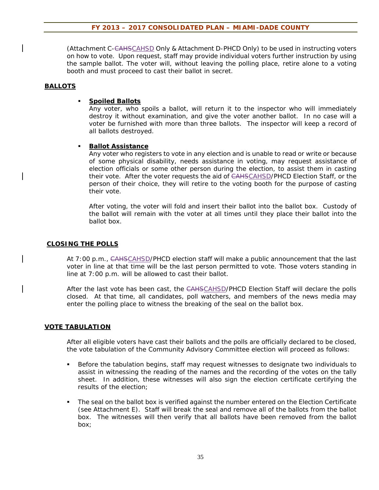(Attachment C-CAHSCAHSD Only & Attachment D-PHCD Only) to be used in instructing voters on how to vote. Upon request, staff may provide individual voters further instruction by using the sample ballot. The voter will, without leaving the polling place, retire alone to a voting booth and must proceed to cast their ballot in secret.

#### **BALLOTS**

#### **Spoiled Ballots**

Any voter, who spoils a ballot, will return it to the inspector who will immediately destroy it without examination, and give the voter another ballot. In no case will a voter be furnished with more than three ballots. The inspector will keep a record of all ballots destroyed.

#### **Ballot Assistance**

Any voter who registers to vote in any election and is unable to read or write or because of some physical disability, needs assistance in voting, may request assistance of election officials or some other person during the election, to assist them in casting their vote. After the voter requests the aid of CAHSCAHSD/PHCD Election Staff, or the person of their choice, they will retire to the voting booth for the purpose of casting their vote.

After voting, the voter will fold and insert their ballot into the ballot box. Custody of the ballot will remain with the voter at all times until they place their ballot into the ballot box.

#### **CLOSING THE POLLS**

At 7:00 p.m., CAHSCAHSD/PHCD election staff will make a public announcement that the last voter in line at that time will be the last person permitted to vote. Those voters standing in line at 7:00 p.m. will be allowed to cast their ballot.

After the last vote has been cast, the CAHSCAHSD/PHCD Election Staff will declare the polls closed. At that time, all candidates, poll watchers, and members of the news media may enter the polling place to witness the breaking of the seal on the ballot box.

#### **VOTE TABULATION**

After all eligible voters have cast their ballots and the polls are officially declared to be closed, the vote tabulation of the Community Advisory Committee election will proceed as follows:

- **Before the tabulation begins, staff may request witnesses to designate two individuals to** assist in witnessing the reading of the names and the recording of the votes on the tally sheet. In addition, these witnesses will also sign the election certificate certifying the results of the election;
- The seal on the ballot box is verified against the number entered on the Election Certificate (see Attachment E). Staff will break the seal and remove all of the ballots from the ballot box. The witnesses will then verify that all ballots have been removed from the ballot box;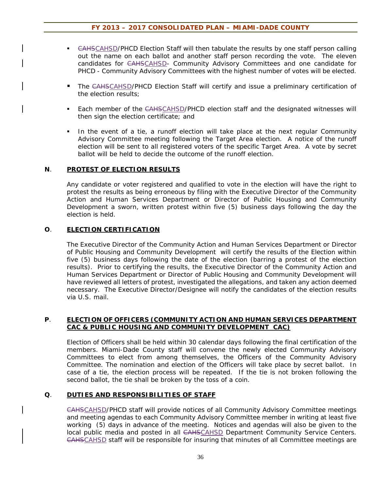- <del>CAHS</del>CAHSD/PHCD Election Staff will then tabulate the results by one staff person calling out the name on each ballot and another staff person recording the vote. The eleven candidates for CAHSCAHSD- Community Advisory Committees and one candidate for PHCD - Community Advisory Committees with the highest number of votes will be elected.
- The CAHSCAHSD/PHCD Election Staff will certify and issue a preliminary certification of the election results;
- **Each member of the CAHSCAHSD/PHCD election staff and the designated witnesses will** then sign the election certificate; and
- In the event of a tie, a runoff election will take place at the next regular Community Advisory Committee meeting following the Target Area election. A notice of the runoff election will be sent to all registered voters of the specific Target Area. A vote by secret ballot will be held to decide the outcome of the runoff election.

#### **N**. **PROTEST OF ELECTION RESULTS**

Any candidate or voter registered and qualified to vote in the election will have the right to protest the results as being erroneous by filing with the Executive Director of the Community Action and Human Services Department or Director of Public Housing and Community Development a sworn, written protest within five (5) business days following the day the election is held.

#### **O**. **ELECTION CERTIFICATION**

The Executive Director of the Community Action and Human Services Department or Director of Public Housing and Community Development will certify the results of the Election within five (5) business days following the date of the election (barring a protest of the election results). Prior to certifying the results, the Executive Director of the Community Action and Human Services Department or Director of Public Housing and Community Development will have reviewed all letters of protest, investigated the allegations, and taken any action deemed necessary. The Executive Director/Designee will notify the candidates of the election results via U.S. mail.

#### **P**. **ELECTION OF OFFICERS (COMMUNITY ACTION AND HUMAN SERVICES DEPARTMENT CAC & PUBLIC HOUSING AND COMMUNITY DEVELOPMENT CAC)**

Election of Officers shall be held within 30 calendar days following the final certification of the members. Miami-Dade County staff will convene the newly elected Community Advisory Committees to elect from among themselves, the Officers of the Community Advisory Committee. The nomination and election of the Officers will take place by secret ballot. In case of a tie, the election process will be repeated. If the tie is not broken following the second ballot, the tie shall be broken by the toss of a coin.

#### **Q**. **DUTIES AND RESPONSIBILITIES OF STAFF**

CAHSCAHSD/PHCD staff will provide notices of all Community Advisory Committee meetings and meeting agendas to each Community Advisory Committee member in writing at least five working (5) days in advance of the meeting. Notices and agendas will also be given to the local public media and posted in all CAHSCAHSD Department Community Service Centers. CAHSCAHSD staff will be responsible for insuring that minutes of all Committee meetings are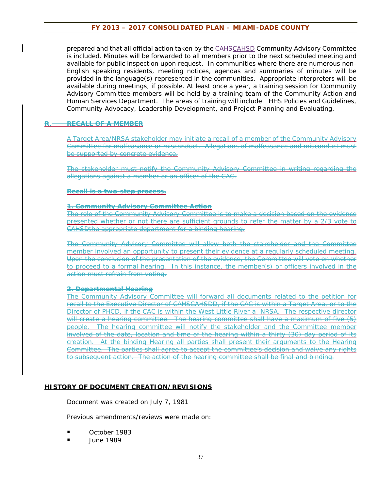prepared and that all official action taken by the CAHSCAHSD Community Advisory Committee is included. Minutes will be forwarded to all members prior to the next scheduled meeting and available for public inspection upon request. In communities where there are numerous non-English speaking residents, meeting notices, agendas and summaries of minutes will be provided in the language(s) represented in the communities. Appropriate interpreters will be available during meetings, if possible. At least once a year, a training session for Community Advisory Committee members will be held by a training team of the Community Action and Human Services Department. The areas of training will include: HHS Policies and Guidelines, Community Advocacy, Leadership Development, and Project Planning and Evaluating.

#### **R**. **RECALL OF A MEMBER**

A Target Area/NRSA stakeholder may initiate a recall of a member of the Community Advisory Committee for malfeasance or misconduct. Allegations of malfeasance and misconduct must be supported by concrete evidence.

The stakeholder must notify the Community Advisory Committee in writing regarding the allegations against a member or an officer of the CAC.

#### **Recall is a two-step process.**

#### **1. Community Advisory Committee Action**

The role of the Community Advisory Committee is to make a decision based on the evidence presented whether or not there are sufficient grounds to refer the matter by a 2/3 vote to CAHSDthe appropriate department for a binding hearing.

The Community Advisory Committee will allow both the stakeholder and the Committee member involved an opportunity to present their evidence at a regularly scheduled meeting. Upon the conclusion of the presentation of the evidence, the Committee will vote on whether to proceed to a formal hearing. In this instance, the member(s) or officers involved in the action must refrain from voting.

#### **2. Departmental Hearing**

The Community Advisory Committee will forward all documents related to the petition for recall to the Executive Director of CAHSCAHSDD, if the CAC is within a Target Area, or to the Director of PHCD, if the CAC is within the West Little River a NRSA. The respective director will create a hearing committee. The hearing committee shall have a maximum of five (5) people. The hearing committee will notify the stakeholder and the Committee member involved of the date, location and time of the hearing within a thirty (30) day period of its creation. At the binding Hearing all parties shall present their arguments to the Hearing Committee. The parties shall agree to accept the committee's decision and waive any rights to subsequent action. The action of the hearing committee shall be final and binding.

#### **HISTORY OF DOCUMENT CREATION/REVISIONS**

Document was created on July 7, 1981

Previous amendments/reviews were made on:

- October 1983
- June 1989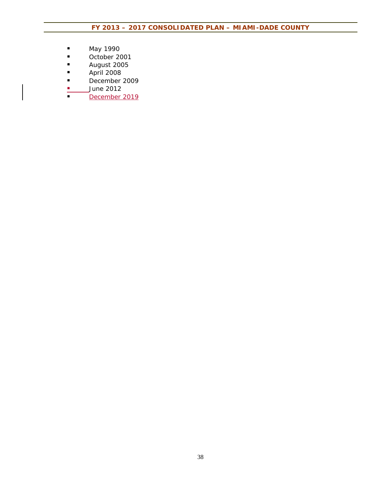- May 1990
- October 2001
- August 2005
- **April 2008**
- December 2009<br>■ June 2012<br>■ December 2019
- June 2012
- December 2019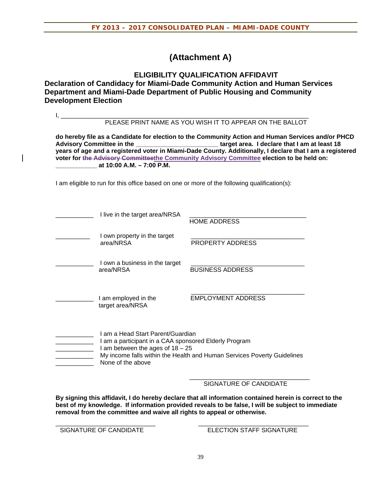### **(Attachment A)**

**ELIGIBILITY QUALIFICATION AFFIDAVIT Declaration of Candidacy for Miami-Dade Community Action and Human Services Department and Miami-Dade Department of Public Housing and Community Development Election**

|                                                                                                                                                                                                                                                                                                                                                                                                                                             |                                                                                                                                                                                                                                  | PLEASE PRINT NAME AS YOU WISH IT TO APPEAR ON THE BALLOT                                     |  |  |  |
|---------------------------------------------------------------------------------------------------------------------------------------------------------------------------------------------------------------------------------------------------------------------------------------------------------------------------------------------------------------------------------------------------------------------------------------------|----------------------------------------------------------------------------------------------------------------------------------------------------------------------------------------------------------------------------------|----------------------------------------------------------------------------------------------|--|--|--|
| do hereby file as a Candidate for election to the Community Action and Human Services and/or PHCD<br>Advisory Committee in the ___________________________target area. I declare that I am at least 18<br>years of age and a registered voter in Miami-Dade County. Additionally, I declare that I am a registered<br>voter for the Advisory Committeethe Community Advisory Committee election to be held on:<br>at 10:00 A.M. - 7:00 P.M. |                                                                                                                                                                                                                                  |                                                                                              |  |  |  |
|                                                                                                                                                                                                                                                                                                                                                                                                                                             |                                                                                                                                                                                                                                  | I am eligible to run for this office based on one or more of the following qualification(s): |  |  |  |
|                                                                                                                                                                                                                                                                                                                                                                                                                                             | I live in the target area/NRSA                                                                                                                                                                                                   | <b>HOME ADDRESS</b>                                                                          |  |  |  |
|                                                                                                                                                                                                                                                                                                                                                                                                                                             | I own property in the target<br>area/NRSA                                                                                                                                                                                        | PROPERTY ADDRESS                                                                             |  |  |  |
|                                                                                                                                                                                                                                                                                                                                                                                                                                             | I own a business in the target<br>area/NRSA                                                                                                                                                                                      | <b>BUSINESS ADDRESS</b>                                                                      |  |  |  |
|                                                                                                                                                                                                                                                                                                                                                                                                                                             | I am employed in the<br>target area/NRSA                                                                                                                                                                                         | <b>EMPLOYMENT ADDRESS</b>                                                                    |  |  |  |
|                                                                                                                                                                                                                                                                                                                                                                                                                                             | I am a Head Start Parent/Guardian<br>I am a participant in a CAA sponsored Elderly Program<br>I am between the ages of $18 - 25$<br>My income falls within the Health and Human Services Poverty Guidelines<br>None of the above |                                                                                              |  |  |  |

SIGNATURE OF CANDIDATE

**By signing this affidavit, I do hereby declare that all information contained herein is correct to the best of my knowledge. If information provided reveals to be false, I will be subject to immediate removal from the committee and waive all rights to appeal or otherwise.** 

\_\_\_\_\_\_\_\_\_\_\_\_\_\_\_\_\_\_\_\_\_\_\_\_\_\_\_\_\_ \_\_\_\_\_\_\_\_\_\_\_\_\_\_\_\_\_\_\_\_\_\_\_\_\_\_\_\_\_\_\_\_ SIGNATURE OF CANDIDATE ELECTION STAFF SIGNATURE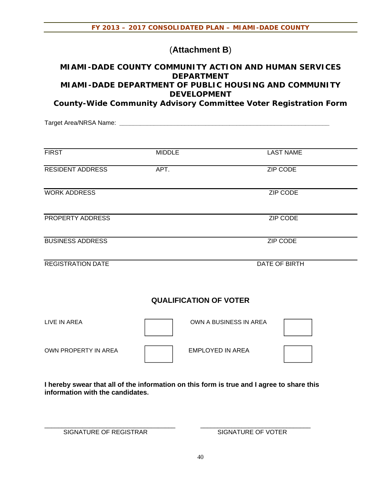### (**Attachment B**)

### **MIAMI-DADE COUNTY COMMUNITY ACTION AND HUMAN SERVICES DEPARTMENT MIAMI-DADE DEPARTMENT OF PUBLIC HOUSING AND COMMUNITY DEVELOPMENT**

**County-Wide Community Advisory Committee Voter Registration Form** 

Target Area/NRSA Name: **\_\_\_\_\_\_\_\_\_\_\_\_\_\_\_\_\_\_\_\_\_\_\_\_\_\_\_\_\_\_\_\_\_\_\_\_\_\_\_\_\_\_\_\_\_\_\_\_\_\_\_\_\_\_\_\_\_\_\_\_\_**

| <b>FIRST</b>             | <b>MIDDLE</b> | <b>LAST NAME</b> |
|--------------------------|---------------|------------------|
| <b>RESIDENT ADDRESS</b>  | APT.          | ZIP CODE         |
| <b>WORK ADDRESS</b>      |               | <b>ZIP CODE</b>  |
| PROPERTY ADDRESS         |               | <b>ZIP CODE</b>  |
| <b>BUSINESS ADDRESS</b>  |               | <b>ZIP CODE</b>  |
| <b>REGISTRATION DATE</b> |               | DATE OF BIRTH    |

### **QUALIFICATION OF VOTER**

| LIVE IN AREA         | OWN A BUSINESS IN AREA |  |
|----------------------|------------------------|--|
| OWN PROPERTY IN AREA | EMPLOYED IN AREA       |  |

**I hereby swear that all of the information on this form is true and I agree to share this information with the candidates.** 

\_\_\_\_\_\_\_\_\_\_\_\_\_\_\_\_\_\_\_\_\_\_\_\_\_\_\_\_\_\_\_\_\_\_\_\_\_\_ \_\_\_\_\_\_\_\_\_\_\_\_\_\_\_\_\_\_\_\_\_\_\_\_\_\_\_\_\_\_\_\_

SIGNATURE OF REGISTRAR SIGNATURE OF VOTER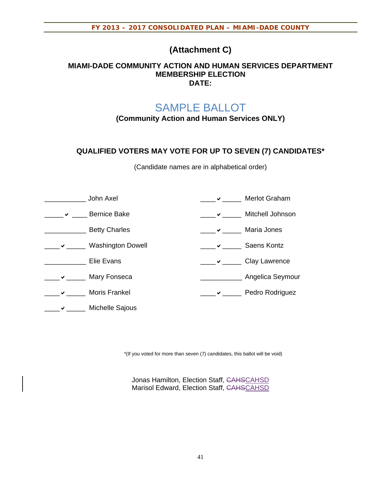### **(Attachment C)**

### **MIAMI-DADE COMMUNITY ACTION AND HUMAN SERVICES DEPARTMENT MEMBERSHIP ELECTION DATE:**

# SAMPLE BALLOT

**(Community Action and Human Services ONLY)** 

### **QUALIFIED VOTERS MAY VOTE FOR UP TO SEVEN (7) CANDIDATES\***

(Candidate names are in alphabetical order)

|              | John Axel                | Merlot Graham    |
|--------------|--------------------------|------------------|
| $\checkmark$ | <b>Bernice Bake</b>      | Mitchell Johnson |
|              | <b>Betty Charles</b>     | Maria Jones      |
| ✔            | <b>Washington Dowell</b> | Saens Kontz      |
|              | Elie Evans               | Clay Lawrence    |
|              | Mary Fonseca             | Angelica Seymour |
|              | <b>Moris Frankel</b>     | Pedro Rodriguez  |
|              | Michelle Sajous          |                  |

\*(If you voted for more than seven (7) candidates, this ballot will be void)

Jonas Hamilton, Election Staff, CAHSCAHSD Marisol Edward, Election Staff, CAHSCAHSD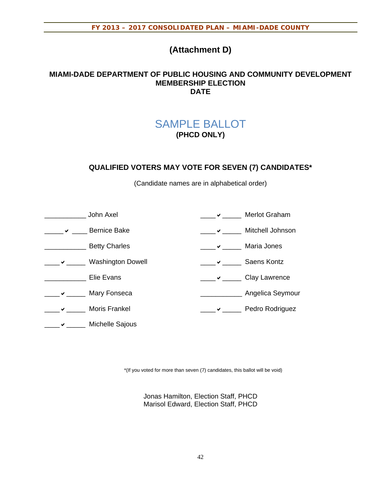## **(Attachment D)**

### **MIAMI-DADE DEPARTMENT OF PUBLIC HOUSING AND COMMUNITY DEVELOPMENT MEMBERSHIP ELECTION DATE**

## SAMPLE BALLOT **(PHCD ONLY)**

### **QUALIFIED VOTERS MAY VOTE FOR SEVEN (7) CANDIDATES\***

(Candidate names are in alphabetical order)

| John Axel                |   | Merlot Graham      |
|--------------------------|---|--------------------|
| <b>Bernice Bake</b>      | ✔ | Mitchell Johnson   |
| <b>Betty Charles</b>     |   | Maria Jones        |
| <b>Washington Dowell</b> |   | <b>Saens Kontz</b> |
| Elie Evans               |   | Clay Lawrence      |
| Mary Fonseca             |   | Angelica Seymour   |
| <b>Moris Frankel</b>     |   | Pedro Rodriguez    |
| Michelle Sajous          |   |                    |

\*(If you voted for more than seven (7) candidates, this ballot will be void)

Jonas Hamilton, Election Staff, PHCD Marisol Edward, Election Staff, PHCD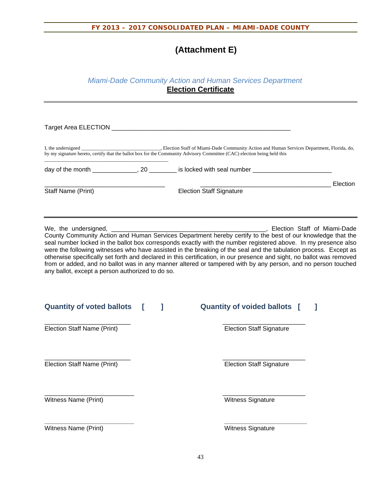# **(Attachment E)**

### *Miami-Dade Community Action and Human Services Department*  **Election Certificate**

|                                                  |   | by my signature hereto, certify that the ballot box for the Community Advisory Committee (CAC) election being held this                                                                                                                                                                                                                                                                                                                                                                                                                                                                   |          |
|--------------------------------------------------|---|-------------------------------------------------------------------------------------------------------------------------------------------------------------------------------------------------------------------------------------------------------------------------------------------------------------------------------------------------------------------------------------------------------------------------------------------------------------------------------------------------------------------------------------------------------------------------------------------|----------|
|                                                  |   | day of the month _____________, 20 ________ is locked with seal number ____________________________                                                                                                                                                                                                                                                                                                                                                                                                                                                                                       |          |
| Staff Name (Print)                               |   | <b>Election Staff Signature</b>                                                                                                                                                                                                                                                                                                                                                                                                                                                                                                                                                           | Election |
| any ballot, except a person authorized to do so. |   | County Community Action and Human Services Department hereby certify to the best of our knowledge that the<br>seal number locked in the ballot box corresponds exactly with the number registered above. In my presence also<br>were the following witnesses who have assisted in the breaking of the seal and the tabulation process. Except as<br>otherwise specifically set forth and declared in this certification, in our presence and sight, no ballot was removed<br>from or added, and no ballot was in any manner altered or tampered with by any person, and no person touched |          |
| <b>Quantity of voted ballots</b>                 | ı | <b>Quantity of voided ballots</b> [<br>J.                                                                                                                                                                                                                                                                                                                                                                                                                                                                                                                                                 |          |
| Election Staff Name (Print)                      |   | <b>Election Staff Signature</b>                                                                                                                                                                                                                                                                                                                                                                                                                                                                                                                                                           |          |
| Election Staff Name (Print)                      |   | <b>Election Staff Signature</b>                                                                                                                                                                                                                                                                                                                                                                                                                                                                                                                                                           |          |
| Witness Name (Print)                             |   | Witness Signature                                                                                                                                                                                                                                                                                                                                                                                                                                                                                                                                                                         |          |
| Witness Name (Print)                             |   | Witness Signature                                                                                                                                                                                                                                                                                                                                                                                                                                                                                                                                                                         |          |